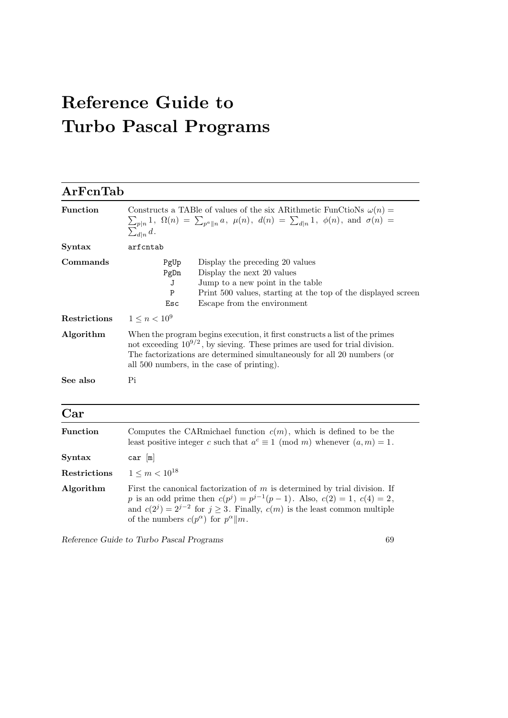# Reference Guide to Turbo Pascal Programs

| ArFcnTab        |                                                                                                                                                                                                                                                                                          |  |  |
|-----------------|------------------------------------------------------------------------------------------------------------------------------------------------------------------------------------------------------------------------------------------------------------------------------------------|--|--|
| <b>Function</b> | Constructs a TABle of values of the six ARithmetic FunCtioNs $\omega(n)$ =<br>$\sum_{p n} 1$ , $\Omega(n) = \sum_{p^a  n} a$ , $\mu(n)$ , $d(n) = \sum_{d n} 1$ , $\phi(n)$ , and $\sigma(n) =$<br>$\sum_{d n} d$ .                                                                      |  |  |
| Syntax          | arfcntab                                                                                                                                                                                                                                                                                 |  |  |
| Commands        | Display the preceding 20 values<br>PgUp<br>PgDn<br>Display the next 20 values<br>Jump to a new point in the table<br>J<br>${\bf P}$<br>Print 500 values, starting at the top of the displayed screen<br>Escape from the environment<br>Esc                                               |  |  |
| Restrictions    | $1 \leq n < 10^9$                                                                                                                                                                                                                                                                        |  |  |
| Algorithm       | When the program begins execution, it first constructs a list of the primes<br>not exceeding $10^{9/2}$ , by sieving. These primes are used for trial division.<br>The factorizations are determined simultaneously for all 20 numbers (or<br>all 500 numbers, in the case of printing). |  |  |
| See also        | Pi                                                                                                                                                                                                                                                                                       |  |  |
| Car             |                                                                                                                                                                                                                                                                                          |  |  |
| <b>Function</b> | Computes the CAR michael function $c(m)$ , which is defined to be the<br>least positive integer c such that $a^c \equiv 1 \pmod{m}$ whenever $(a, m) = 1$ .                                                                                                                              |  |  |
| <b>Syntax</b>   | $car$ $[m]$                                                                                                                                                                                                                                                                              |  |  |
| Restrictions    | $1 \leq m < 10^{18}$                                                                                                                                                                                                                                                                     |  |  |
| Algorithm       | First the canonical factorization of $m$ is determined by trial division. If<br>p is an odd prime then $c(p^j) = p^{j-1}(p-1)$ . Also, $c(2) = 1$ , $c(4) = 2$ ,<br>and $c(2^j) = 2^{j-2}$ for $j \ge 3$ . Finally, $c(m)$ is the least common multiple                                  |  |  |

Reference Guide to Turbo Pascal Programs 69

of the numbers  $c(p^{\alpha})$  for  $p^{\alpha}||m$ .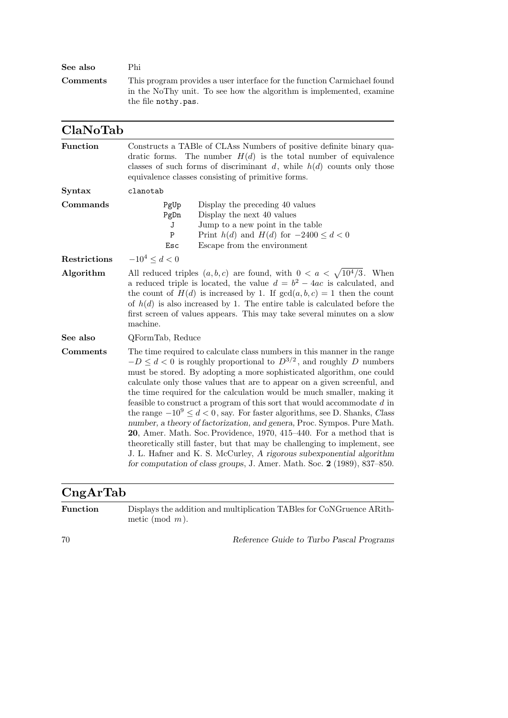| See also | Phi                                                                                                                                                                    |
|----------|------------------------------------------------------------------------------------------------------------------------------------------------------------------------|
| Comments | This program provides a user interface for the function Carmichael found<br>in the NoThy unit. To see how the algorithm is implemented, examine<br>the file nothy.pas. |

| ClaNoTab        |                                                                                                                                                                                                                                                                                                                                                                                                                                                                                                                                                                                                                                                                                                                                                                                                                                                                                                                                               |
|-----------------|-----------------------------------------------------------------------------------------------------------------------------------------------------------------------------------------------------------------------------------------------------------------------------------------------------------------------------------------------------------------------------------------------------------------------------------------------------------------------------------------------------------------------------------------------------------------------------------------------------------------------------------------------------------------------------------------------------------------------------------------------------------------------------------------------------------------------------------------------------------------------------------------------------------------------------------------------|
| <b>Function</b> | Constructs a TABle of CLAss Numbers of positive definite binary qua-<br>dratic forms. The number $H(d)$ is the total number of equivalence<br>classes of such forms of discriminant d, while $h(d)$ counts only those<br>equivalence classes consisting of primitive forms.                                                                                                                                                                                                                                                                                                                                                                                                                                                                                                                                                                                                                                                                   |
| Syntax          | clanotab                                                                                                                                                                                                                                                                                                                                                                                                                                                                                                                                                                                                                                                                                                                                                                                                                                                                                                                                      |
| Commands        | Display the preceding 40 values<br>PgUp<br>PgDn<br>Display the next 40 values<br>Jump to a new point in the table<br>J<br>$\overline{P}$<br>Print $h(d)$ and $H(d)$ for $-2400 \leq d < 0$<br>Esc<br>Escape from the environment                                                                                                                                                                                                                                                                                                                                                                                                                                                                                                                                                                                                                                                                                                              |
| Restrictions    | $-10^4 \le d < 0$                                                                                                                                                                                                                                                                                                                                                                                                                                                                                                                                                                                                                                                                                                                                                                                                                                                                                                                             |
| Algorithm       | All reduced triples $(a, b, c)$ are found, with $0 < a < \sqrt{10^4/3}$ . When<br>a reduced triple is located, the value $d = b^2 - 4ac$ is calculated, and<br>the count of $H(d)$ is increased by 1. If $gcd(a, b, c) = 1$ then the count<br>of $h(d)$ is also increased by 1. The entire table is calculated before the<br>first screen of values appears. This may take several minutes on a slow<br>machine.                                                                                                                                                                                                                                                                                                                                                                                                                                                                                                                              |
| See also        | QFormTab, Reduce                                                                                                                                                                                                                                                                                                                                                                                                                                                                                                                                                                                                                                                                                                                                                                                                                                                                                                                              |
| Comments        | The time required to calculate class numbers in this manner in the range<br>$-D \leq d < 0$ is roughly proportional to $D^{3/2}$ , and roughly D numbers<br>must be stored. By adopting a more sophisticated algorithm, one could<br>calculate only those values that are to appear on a given screenful, and<br>the time required for the calculation would be much smaller, making it<br>feasible to construct a program of this sort that would accommodate $d$ in<br>the range $-10^9 \leq d < 0$ , say. For faster algorithms, see D. Shanks, Class<br>number, a theory of factorization, and genera, Proc. Sympos. Pure Math.<br>20, Amer. Math. Soc. Providence, 1970, 415–440. For a method that is<br>theoretically still faster, but that may be challenging to implement, see<br>J. L. Hafner and K. S. McCurley, A rigorous subexponential algorithm<br>for computation of class groups, J. Amer. Math. Soc. $2$ (1989), 837–850. |

# CngArTab

Function Displays the addition and multiplication TABles for CoNGruence ARithmetic (mod m).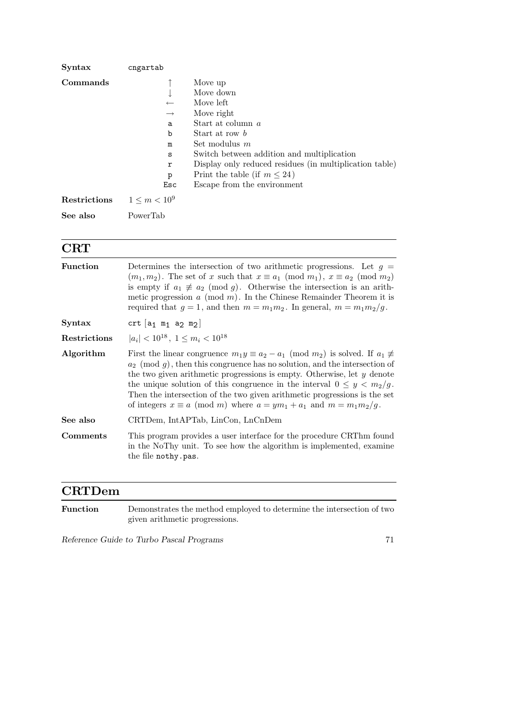| Syntax       | cngartab           |                                                         |
|--------------|--------------------|---------------------------------------------------------|
| Commands     |                    | Move up                                                 |
|              | ↓                  | Move down                                               |
|              | $\leftarrow$       | Move left                                               |
|              | $\longrightarrow$  | Move right                                              |
|              | a                  | Start at column a                                       |
|              | $\mathbf b$        | Start at row b                                          |
|              | m                  | Set modulus $m$                                         |
|              | S                  | Switch between addition and multiplication              |
|              | r                  | Display only reduced residues (in multiplication table) |
|              | p                  | Print the table (if $m \leq 24$ )                       |
|              | Esc                | Escape from the environment                             |
| Restrictions | $1 \le m \lt 10^9$ |                                                         |
| See also     | PowerTab           |                                                         |

#### **CRT**

| <b>Function</b> | Determines the intersection of two arithmetic progressions. Let $g =$<br>$(m_1, m_2)$ . The set of x such that $x \equiv a_1 \pmod{m_1}$ , $x \equiv a_2 \pmod{m_2}$<br>is empty if $a_1 \not\equiv a_2 \pmod{g}$ . Otherwise the intersection is an arith-<br>metic progression $a \pmod{m}$ . In the Chinese Remainder Theorem it is<br>required that $g = 1$ , and then $m = m_1 m_2$ . In general, $m = m_1 m_2 / g$ .                                                                                |
|-----------------|-----------------------------------------------------------------------------------------------------------------------------------------------------------------------------------------------------------------------------------------------------------------------------------------------------------------------------------------------------------------------------------------------------------------------------------------------------------------------------------------------------------|
| Syntax          | crt $[a_1 \t m_1 a_2 m_2]$                                                                                                                                                                                                                                                                                                                                                                                                                                                                                |
| Restrictions    | $ a_i  < 10^{18}$ , $1 \le m_i < 10^{18}$                                                                                                                                                                                                                                                                                                                                                                                                                                                                 |
| Algorithm       | First the linear congruence $m_1y \equiv a_2 - a_1 \pmod{m_2}$ is solved. If $a_1 \not\equiv$<br>$a_2 \pmod{q}$ , then this congruence has no solution, and the intersection of<br>the two given arithmetic progressions is empty. Otherwise, let $y$ denote<br>the unique solution of this congruence in the interval $0 \leq y < m_2/g$ .<br>Then the intersection of the two given arithmetic progressions is the set<br>of integers $x \equiv a \pmod{m}$ where $a = ym_1 + a_1$ and $m = m_1m_2/g$ . |
| See also        | CRTDem, IntAPTab, LinCon, LnCnDem                                                                                                                                                                                                                                                                                                                                                                                                                                                                         |
| Comments        | This program provides a user interface for the procedure CRThm found<br>in the NoThy unit. To see how the algorithm is implemented, examine<br>the file nothy.pas.                                                                                                                                                                                                                                                                                                                                        |
|                 |                                                                                                                                                                                                                                                                                                                                                                                                                                                                                                           |

#### CRTDem

Function Demonstrates the method employed to determine the intersection of two given arithmetic progressions.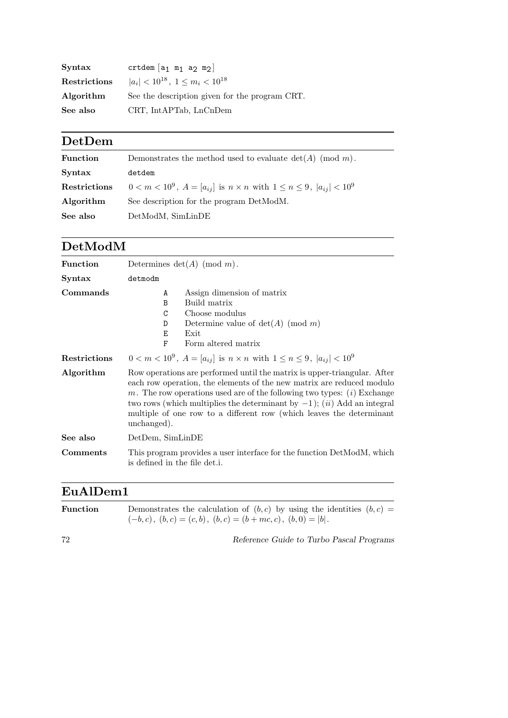| $S yntax$    | crtdem $[a_1 \t m_1 a_2 m_2]$                  |
|--------------|------------------------------------------------|
| Restrictions | $ a_i  < 10^{18}$ , $1 \le m_i < 10^{18}$      |
| Algorithm    | See the description given for the program CRT. |
| See also     | CRT, IntAPTab, LnCnDem                         |

# DetDem

| <b>Function</b> | Demonstrates the method used to evaluate $\det(A)$ (mod m).                              |
|-----------------|------------------------------------------------------------------------------------------|
| Syntax          | detdem                                                                                   |
| Restrictions    | $0 < m < 10^9$ , $A = [a_{ij}]$ is $n \times n$ with $1 \le n \le 9$ , $ a_{ij}  < 10^9$ |
| Algorithm       | See description for the program DetModM.                                                 |
| See also        | DetModM, SimLinDE                                                                        |

### DetModM

| <b>Function</b> | Determines $\det(A)$ (mod m).                                                                                                                                                                                                                                                                                                                                                                                |  |
|-----------------|--------------------------------------------------------------------------------------------------------------------------------------------------------------------------------------------------------------------------------------------------------------------------------------------------------------------------------------------------------------------------------------------------------------|--|
| <b>Syntax</b>   | detmodm                                                                                                                                                                                                                                                                                                                                                                                                      |  |
| Commands        | Assign dimension of matrix<br>A<br>Build matrix<br>$\mathbf B$<br>Choose modulus<br>C<br>Determine value of $det(A)$ (mod m)<br>D<br>Е<br>Exit<br>Form altered matrix<br>F                                                                                                                                                                                                                                   |  |
| Restrictions    | $0 < m < 10^9$ , $A = [a_{ij}]$ is $n \times n$ with $1 \le n \le 9$ , $ a_{ij}  < 10^9$                                                                                                                                                                                                                                                                                                                     |  |
| Algorithm       | Row operations are performed until the matrix is upper-triangular. After<br>each row operation, the elements of the new matrix are reduced modulo<br>m. The row operations used are of the following two types: $(i)$ Exchange<br>two rows (which multiplies the determinant by $-1$ ); ( <i>ii</i> ) Add an integral<br>multiple of one row to a different row (which leaves the determinant<br>unchanged). |  |
| See also        | DetDem, SimLinDE                                                                                                                                                                                                                                                                                                                                                                                             |  |
| <b>Comments</b> | This program provides a user interface for the function DetModM, which<br>is defined in the file det.i.                                                                                                                                                                                                                                                                                                      |  |

## EuAlDem1

| <b>Function</b> | Demonstrates the calculation of $(b, c)$ by using the identities $(b, c)$ = |
|-----------------|-----------------------------------------------------------------------------|
|                 | $(-b, c), (b, c) = (c, b), (b, c) = (b + mc, c), (b, 0) =  b .$             |
|                 |                                                                             |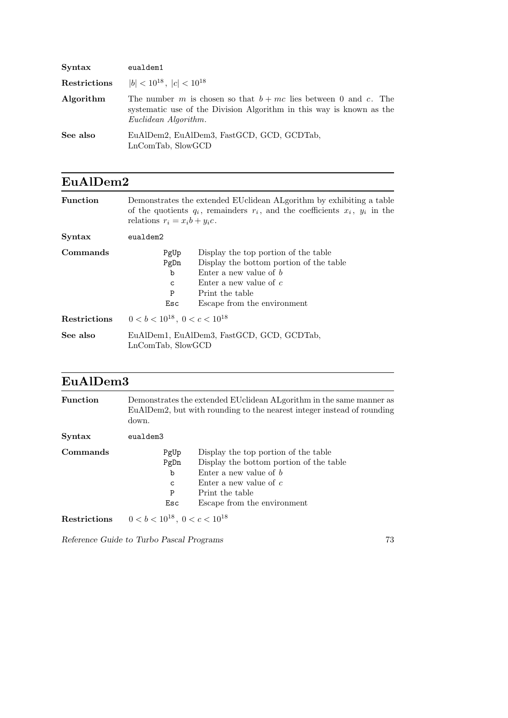| Syntax       | eualdem1                                                                                                                                                          |
|--------------|-------------------------------------------------------------------------------------------------------------------------------------------------------------------|
| Restrictions | $ b  < 10^{18}$ , $ c  < 10^{18}$                                                                                                                                 |
| Algorithm    | The number m is chosen so that $b + mc$ lies between 0 and c. The<br>systematic use of the Division Algorithm in this way is known as the<br>Euclidean Algorithm. |
| See also     | EuAlDem2, EuAlDem3, FastGCD, GCD, GCDTab,<br>LnComTab, SlowGCD                                                                                                    |

| EuAlDem2            |                                                                                                                                                                                                                                           |
|---------------------|-------------------------------------------------------------------------------------------------------------------------------------------------------------------------------------------------------------------------------------------|
| Function            | Demonstrates the extended EU clidean AL gorithm by exhibiting a table<br>of the quotients $q_i$ , remainders $r_i$ , and the coefficients $x_i$ , $y_i$ in the<br>relations $r_i = x_i b + y_i c$ .                                       |
| Syntax              | eualdem2                                                                                                                                                                                                                                  |
| Commands            | Display the top portion of the table<br>PgUp<br>Display the bottom portion of the table<br>PgDn<br>Enter a new value of $b$<br>b<br>Enter a new value of $c$<br>$\mathbf C$<br>Print the table<br>P<br>Escape from the environment<br>Esc |
| <b>Restrictions</b> | $0 < b < 10^{18}$ , $0 < c < 10^{18}$                                                                                                                                                                                                     |
| See also            | EuAlDem1, EuAlDem3, FastGCD, GCD, GCDTab,<br>LnComTab, SlowGCD                                                                                                                                                                            |

| <b>Function</b> | down.                                 | Demonstrates the extended EU clidean ALgorithm in the same manner as<br>EuAlDem2, but with rounding to the nearest integer instead of rounding                                            |
|-----------------|---------------------------------------|-------------------------------------------------------------------------------------------------------------------------------------------------------------------------------------------|
| <b>Syntax</b>   | eualdem3                              |                                                                                                                                                                                           |
| Commands        | PgUp<br>PgDn<br>b<br>C<br>P<br>Esc    | Display the top portion of the table<br>Display the bottom portion of the table<br>Enter a new value of $b$<br>Enter a new value of $c$<br>Print the table<br>Escape from the environment |
| Restrictions    | $0 < b < 10^{18}$ , $0 < c < 10^{18}$ |                                                                                                                                                                                           |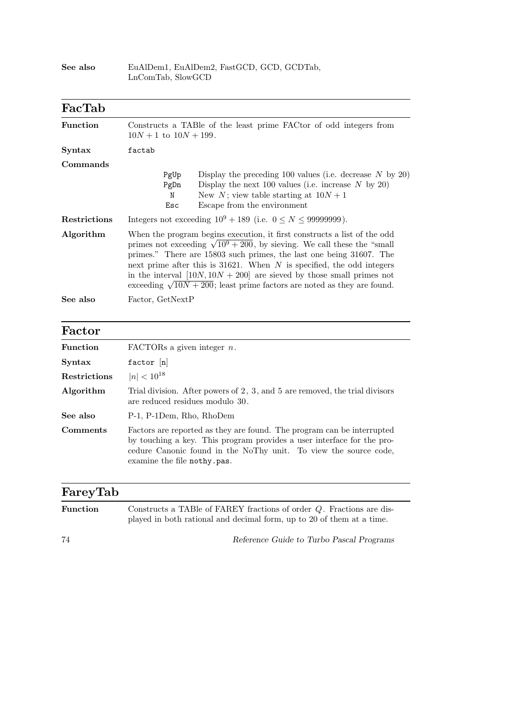|                 | LnComTab, SlowGCD                                                                                                                                                                                                                                                                                                                                                                                                                                                             |  |
|-----------------|-------------------------------------------------------------------------------------------------------------------------------------------------------------------------------------------------------------------------------------------------------------------------------------------------------------------------------------------------------------------------------------------------------------------------------------------------------------------------------|--|
| FacTab          |                                                                                                                                                                                                                                                                                                                                                                                                                                                                               |  |
| <b>Function</b> | Constructs a TABle of the least prime FACtor of odd integers from<br>$10N + 1$ to $10N + 199$ .                                                                                                                                                                                                                                                                                                                                                                               |  |
| Syntax          | factab                                                                                                                                                                                                                                                                                                                                                                                                                                                                        |  |
| Commands        | Display the preceding 100 values (i.e. decrease $N$ by 20)<br>PgUp<br>Display the next 100 values (i.e. increase $N$ by 20)<br>PgDn<br>New N; view table starting at $10N + 1$<br>N<br>Escape from the environment<br>Esc                                                                                                                                                                                                                                                     |  |
| Restrictions    | Integers not exceeding $10^9 + 189$ (i.e. $0 \le N \le 99999999$ ).                                                                                                                                                                                                                                                                                                                                                                                                           |  |
| Algorithm       | When the program begins execution, it first constructs a list of the odd<br>primes not exceeding $\sqrt{10^9 + 200}$ , by sieving. We call these the "small"<br>primes." There are 15803 such primes, the last one being 31607. The<br>next prime after this is $31621$ . When N is specified, the odd integers<br>in the interval $[10N, 10N + 200]$ are sieved by those small primes not<br>exceeding $\sqrt{10N + 200}$ ; least prime factors are noted as they are found. |  |
| See also        | Factor, GetNextP                                                                                                                                                                                                                                                                                                                                                                                                                                                              |  |

See also EuAlDem1, EuAlDem2, FastGCD, GCD, GCDTab,

#### Factor

| Function     | FACTORs a given integer $n$ .                                                                                                                                                                                                                       |
|--------------|-----------------------------------------------------------------------------------------------------------------------------------------------------------------------------------------------------------------------------------------------------|
| Syntax       | factor $[n]$                                                                                                                                                                                                                                        |
| Restrictions | $ n  < 10^{18}$                                                                                                                                                                                                                                     |
| Algorithm    | Trial division. After powers of $2, 3$ , and $5$ are removed, the trial divisors<br>are reduced residues modulo 30.                                                                                                                                 |
| See also     | P-1, P-1Dem, Rho, RhoDem                                                                                                                                                                                                                            |
| Comments     | Factors are reported as they are found. The program can be interrupted<br>by touching a key. This program provides a user interface for the pro-<br>cedure Canonic found in the NoThy unit. To view the source code,<br>examine the file nothy.pas. |

#### FareyTab

| Function | Constructs a TABle of FAREY fractions of order $Q$ . Fractions are dis- |
|----------|-------------------------------------------------------------------------|
|          | played in both rational and decimal form, up to 20 of them at a time.   |
|          |                                                                         |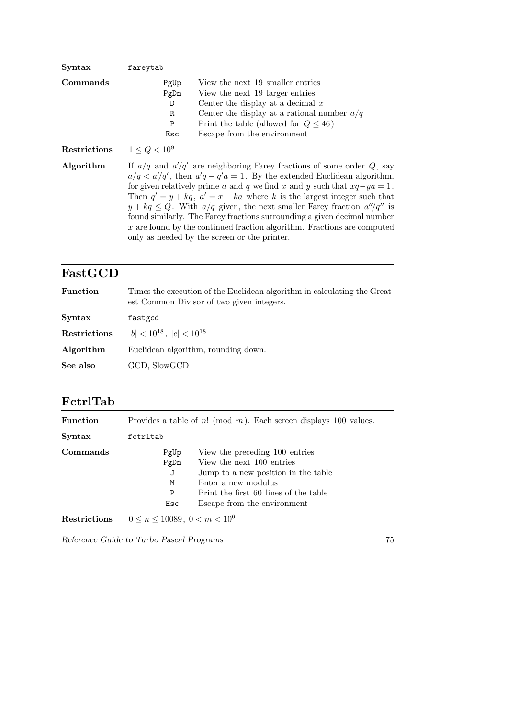| Syntax              | fareytab                                                                                                                                                                                                                                                                                                                                                                                                                                                                                                                                                                                                            |
|---------------------|---------------------------------------------------------------------------------------------------------------------------------------------------------------------------------------------------------------------------------------------------------------------------------------------------------------------------------------------------------------------------------------------------------------------------------------------------------------------------------------------------------------------------------------------------------------------------------------------------------------------|
| Commands            | View the next 19 smaller entries<br>PgUp<br>PgDn<br>View the next 19 larger entries<br>Center the display at a decimal $x$<br>D<br>Center the display at a rational number $a/q$<br>R<br>Print the table (allowed for $Q \leq 46$ )<br>P<br>Escape from the environment<br>Esc                                                                                                                                                                                                                                                                                                                                      |
| <b>Restrictions</b> | $1 \le Q < 10^9$                                                                                                                                                                                                                                                                                                                                                                                                                                                                                                                                                                                                    |
| Algorithm           | If $a/q$ and $a'/q'$ are neighboring Farey fractions of some order Q, say<br>$a/q < a'/q'$ , then $a'q - q'a = 1$ . By the extended Euclidean algorithm,<br>for given relatively prime a and q we find x and y such that $xq - ya = 1$ .<br>Then $q' = y + kq$ , $a' = x + ka$ where k is the largest integer such that<br>$y + kq \leq Q$ . With $a/q$ given, the next smaller Farey fraction $a''/q''$ is<br>found similarly. The Farey fractions surrounding a given decimal number<br>$x$ are found by the continued fraction algorithm. Fractions are computed<br>only as needed by the screen or the printer. |

### FastGCD

| <b>Function</b> | Times the execution of the Euclidean algorithm in calculating the Great-<br>est Common Divisor of two given integers. |
|-----------------|-----------------------------------------------------------------------------------------------------------------------|
| Syntax          | fastgcd                                                                                                               |
| Restrictions    | $ b  < 10^{18}$ , $ c  < 10^{18}$                                                                                     |
| Algorithm       | Euclidean algorithm, rounding down.                                                                                   |
| See also        | GCD, SlowGCD                                                                                                          |
|                 |                                                                                                                       |

| FetrlTab     |                                             |                                                                                                                                                                                                   |
|--------------|---------------------------------------------|---------------------------------------------------------------------------------------------------------------------------------------------------------------------------------------------------|
| Function     |                                             | Provides a table of $n! \pmod{m}$ . Each screen displays 100 values.                                                                                                                              |
| Syntax       | fctrltab                                    |                                                                                                                                                                                                   |
| Commands     | PgUp<br>PgDn<br>J<br>M<br>P<br>Esc          | View the preceding 100 entries<br>View the next 100 entries<br>Jump to a new position in the table<br>Enter a new modulus<br>Print the first 60 lines of the table<br>Escape from the environment |
| Restrictions | $0 \leq n \leq 10089, \ 0 \leq m \leq 10^6$ |                                                                                                                                                                                                   |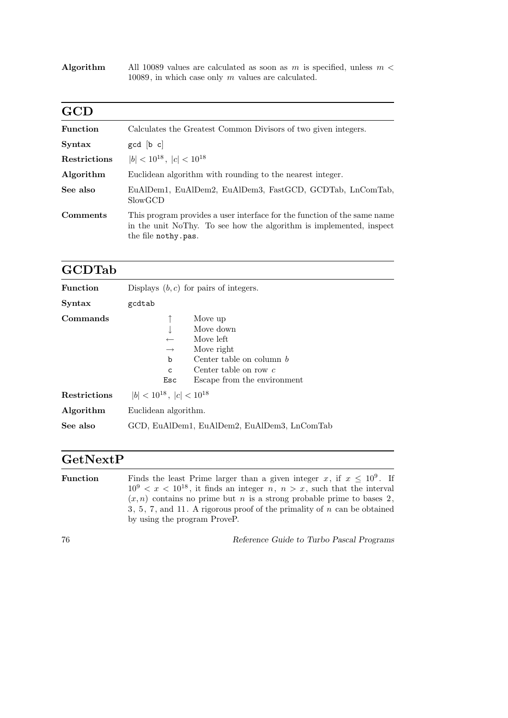Algorithm All 10089 values are calculated as soon as m is specified, unless  $m <$ 10089, in which case only m values are calculated.

| <b>GCD</b>          |                                                                                                                                                                        |
|---------------------|------------------------------------------------------------------------------------------------------------------------------------------------------------------------|
| <b>Function</b>     | Calculates the Greatest Common Divisors of two given integers.                                                                                                         |
| <b>Syntax</b>       | gcd [b c]                                                                                                                                                              |
| <b>Restrictions</b> | $ b  < 10^{18}$ , $ c  < 10^{18}$                                                                                                                                      |
| Algorithm           | Euclidean algorithm with rounding to the nearest integer.                                                                                                              |
| See also            | EuAlDem1, EuAlDem2, EuAlDem3, FastGCD, GCDTab, LnComTab,<br>SlowGCD                                                                                                    |
| <b>Comments</b>     | This program provides a user interface for the function of the same name<br>in the unit NoThy. To see how the algorithm is implemented, inspect<br>the file nothy.pas. |

#### GCDTab

| <b>Function</b>     | Displays $(b, c)$ for pairs of integers.                                                                                                                                                                |
|---------------------|---------------------------------------------------------------------------------------------------------------------------------------------------------------------------------------------------------|
| <b>Syntax</b>       | gcdtab                                                                                                                                                                                                  |
| Commands            | Move up<br>Move down<br>Move left<br>$\leftarrow$<br>Move right<br>$\longrightarrow$<br>Center table on column $b$<br>b<br>Center table on row $c$<br>$\mathbf C$<br>Escape from the environment<br>Esc |
| <b>Restrictions</b> | $ b  < 10^{18}$ , $ c  < 10^{18}$                                                                                                                                                                       |
| Algorithm           | Euclidean algorithm.                                                                                                                                                                                    |
| See also            | GCD, EuAlDem1, EuAlDem2, EuAlDem3, LnComTab                                                                                                                                                             |

#### GetNextP

**Function** Finds the least Prime larger than a given integer x, if  $x \leq 10^9$ . If 10<sup>9</sup>  $\lt x \lt 10^{18}$ , it finds an integer n,  $n > x$ , such that the interval  $(x, n)$  contains no prime but n is a strong probable prime to bases 2,  $3, 5, 7,$  and 11. A rigorous proof of the primality of n can be obtained by using the program ProveP.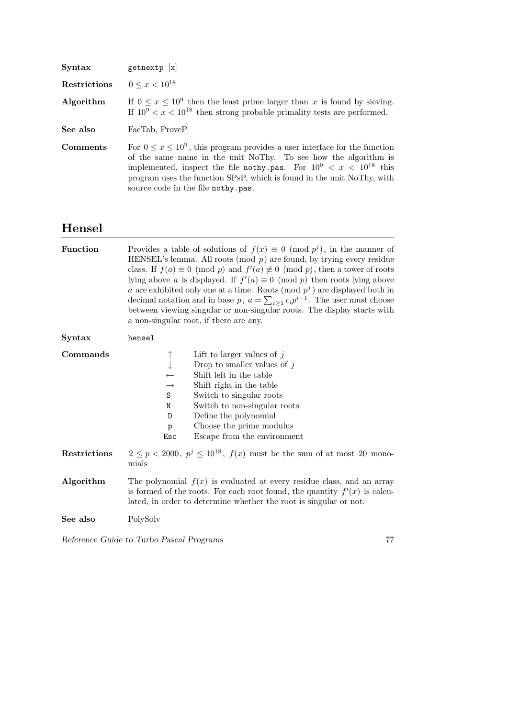| Syntax       | getnextp $[x]$                                                                                                                                                                                                                                                                                                                                |
|--------------|-----------------------------------------------------------------------------------------------------------------------------------------------------------------------------------------------------------------------------------------------------------------------------------------------------------------------------------------------|
| Restrictions | $0 \leq x < 10^{18}$                                                                                                                                                                                                                                                                                                                          |
| Algorithm    | If $0 \le x \le 10^9$ then the least prime larger than x is found by sieving.<br>If $10^9 < x < 10^{18}$ then strong probable primality tests are performed.                                                                                                                                                                                  |
| See also     | FacTab, ProveP                                                                                                                                                                                                                                                                                                                                |
| Comments     | For $0 \le x \le 10^9$ , this program provides a user interface for the function<br>of the same name in the unit NoThy. To see how the algorithm is<br>implemented, inspect the file nothy pas. For $10^9 < x < 10^{18}$ this<br>program uses the function SPsP, which is found in the unit NoThy, with<br>source code in the file nothy.pas. |

#### Hensel

| <b>Function</b> | Provides a table of solutions of $f(x) \equiv 0 \pmod{p^j}$ , in the manner of<br>HENSEL's lemma. All roots (mod $p$ ) are found, by trying every residue<br>class. If $f(a) \equiv 0 \pmod{p}$ and $f'(a) \not\equiv 0 \pmod{p}$ , then a tower of roots<br>lying above a is displayed. If $f'(a) \equiv 0 \pmod{p}$ then roots lying above<br>a are exhibited only one at a time. Roots (mod $p^j$ ) are displayed both in<br>decimal notation and in base p, $a = \sum_{i>1} c_i p^{i-1}$ . The user must choose<br>between viewing singular or non-singular roots. The display starts with<br>a non-singular root, if there are any. |
|-----------------|------------------------------------------------------------------------------------------------------------------------------------------------------------------------------------------------------------------------------------------------------------------------------------------------------------------------------------------------------------------------------------------------------------------------------------------------------------------------------------------------------------------------------------------------------------------------------------------------------------------------------------------|
| <b>Syntax</b>   | hensel                                                                                                                                                                                                                                                                                                                                                                                                                                                                                                                                                                                                                                   |
| Commands        | Lift to larger values of $j$<br>↑<br>Drop to smaller values of $j$<br>Shift left in the table<br>Shift right in the table<br>$\longrightarrow$<br>$\rm S$<br>Switch to singular roots<br>Switch to non-singular roots<br>N<br>Define the polynomial<br>D<br>Choose the prime modulus<br>p<br>Escape from the environment<br>Esc                                                                                                                                                                                                                                                                                                          |
| Restrictions    | $2 \leq p < 2000$ , $p^{j} \leq 10^{18}$ , $f(x)$ must be the sum of at most 20 mono-<br>mials                                                                                                                                                                                                                                                                                                                                                                                                                                                                                                                                           |
| Algorithm       | The polynomial $f(x)$ is evaluated at every residue class, and an array<br>is formed of the roots. For each root found, the quantity $f'(x)$ is calcu-<br>lated, in order to determine whether the root is singular or not.                                                                                                                                                                                                                                                                                                                                                                                                              |
| See also        | PolySolv                                                                                                                                                                                                                                                                                                                                                                                                                                                                                                                                                                                                                                 |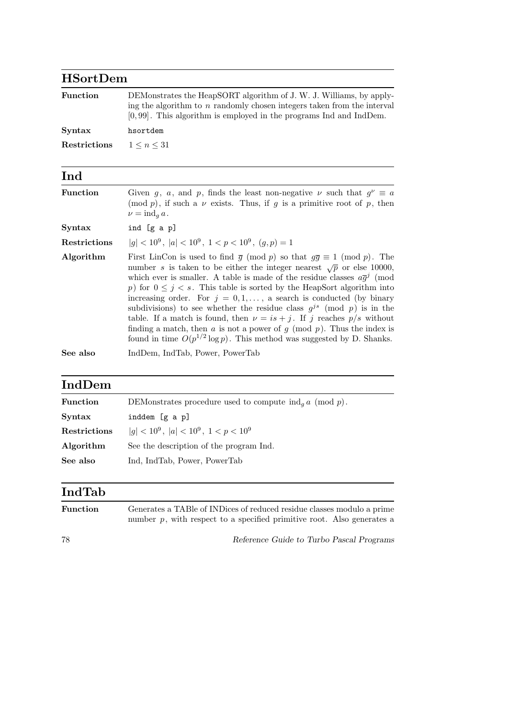### HSortDem

| <b>Function</b> | DEMonstrates the HeapSORT algorithm of J. W. J. Williams, by apply-<br>ing the algorithm to $n$ randomly chosen integers taken from the interval |
|-----------------|--------------------------------------------------------------------------------------------------------------------------------------------------|
| Syntax          | $[0, 99]$ . This algorithm is employed in the programs Ind and IndDem.<br>hsortdem                                                               |
| Restrictions    | $1 \leq n \leq 31$                                                                                                                               |

### Ind

| <b>Function</b>     | Given g, a, and p, finds the least non-negative $\nu$ such that $g^{\nu} \equiv a$<br>(mod p), if such a $\nu$ exists. Thus, if g is a primitive root of p, then<br>$\nu = \text{ind}_a a$ .                                                                                                                                                                                                                                                                                                                                                                                                                                                                                                                                                             |  |  |
|---------------------|----------------------------------------------------------------------------------------------------------------------------------------------------------------------------------------------------------------------------------------------------------------------------------------------------------------------------------------------------------------------------------------------------------------------------------------------------------------------------------------------------------------------------------------------------------------------------------------------------------------------------------------------------------------------------------------------------------------------------------------------------------|--|--|
| <b>Syntax</b>       | ind [g a p]                                                                                                                                                                                                                                                                                                                                                                                                                                                                                                                                                                                                                                                                                                                                              |  |  |
| <b>Restrictions</b> | $ q  < 10^9$ , $ a  < 10^9$ , $1 < p < 10^9$ , $(q, p) = 1$                                                                                                                                                                                                                                                                                                                                                                                                                                                                                                                                                                                                                                                                                              |  |  |
| Algorithm           | First LinCon is used to find $\bar{g} \pmod{p}$ so that $g\bar{g} \equiv 1 \pmod{p}$ . The<br>number s is taken to be either the integer nearest $\sqrt{p}$ or else 10000,<br>which ever is smaller. A table is made of the residue classes $a\bar{g}^j$ (mod<br>p) for $0 \leq j \leq s$ . This table is sorted by the HeapSort algorithm into<br>increasing order. For $j = 0, 1, \ldots$ , a search is conducted (by binary<br>subdivisions) to see whether the residue class $g^{js}$ (mod p) is in the<br>table. If a match is found, then $\nu = is + j$ . If j reaches $p/s$ without<br>finding a match, then a is not a power of $g \pmod{p}$ . Thus the index is<br>found in time $O(p^{1/2} \log p)$ . This method was suggested by D. Shanks. |  |  |
| See also            | IndDem, IndTab, Power, PowerTab                                                                                                                                                                                                                                                                                                                                                                                                                                                                                                                                                                                                                                                                                                                          |  |  |

# IndDem

| <b>Function</b> | DEMonstrates procedure used to compute $\operatorname{ind}_g a$ (mod p). |  |  |
|-----------------|--------------------------------------------------------------------------|--|--|
| Syntax          | inddem [g a p]                                                           |  |  |
| Restrictions    | $ g  < 10^9$ , $ a  < 10^9$ , $1 < p < 10^9$                             |  |  |
| Algorithm       | See the description of the program Ind.                                  |  |  |
| See also        | Ind, IndTab, Power, PowerTab                                             |  |  |
|                 |                                                                          |  |  |

## IndTab

| <b>Function</b> | Generates a TABle of INDices of reduced residue classes modulo a prime    |
|-----------------|---------------------------------------------------------------------------|
|                 | number $p$ , with respect to a specified primitive root. Also generates a |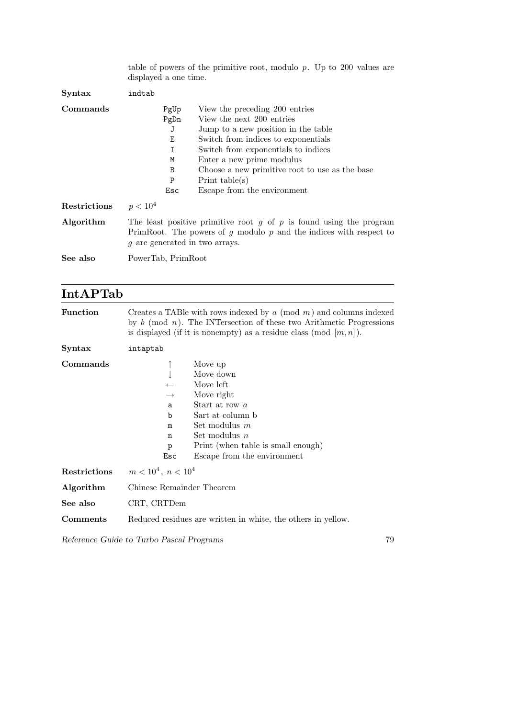|                     | table of powers of the primitive root, modulo $p$ . Up to 200 values are<br>displayed a one time.                                                                                   |                                                                                                                                                                                                                                                                                                                    |
|---------------------|-------------------------------------------------------------------------------------------------------------------------------------------------------------------------------------|--------------------------------------------------------------------------------------------------------------------------------------------------------------------------------------------------------------------------------------------------------------------------------------------------------------------|
| Syntax              | indtab                                                                                                                                                                              |                                                                                                                                                                                                                                                                                                                    |
| Commands            | PgUp<br>PgDn<br>J<br>E<br>I<br>M<br>B<br>P<br>Esc                                                                                                                                   | View the preceding 200 entries<br>View the next 200 entries<br>Jump to a new position in the table<br>Switch from indices to exponentials<br>Switch from exponentials to indices<br>Enter a new prime modulus<br>Choose a new primitive root to use as the base<br>Print $table(s)$<br>Escape from the environment |
| <b>Restrictions</b> | $p < 10^4$                                                                                                                                                                          |                                                                                                                                                                                                                                                                                                                    |
| Algorithm           | The least positive primitive root $g$ of $p$ is found using the program<br>PrimRoot. The powers of $g$ modulo $p$ and the indices with respect to<br>g are generated in two arrays. |                                                                                                                                                                                                                                                                                                                    |
| See also            | PowerTab, PrimRoot                                                                                                                                                                  |                                                                                                                                                                                                                                                                                                                    |

## IntAPTab

| <b>Function</b> | Creates a TABle with rows indexed by $a \pmod{m}$ and columns indexed<br>by $b \pmod{n}$ . The INTersection of these two Arithmetic Progressions<br>is displayed (if it is nonempty) as a residue class (mod $[m, n]$ ).                          |  |
|-----------------|---------------------------------------------------------------------------------------------------------------------------------------------------------------------------------------------------------------------------------------------------|--|
| Syntax          | intaptab                                                                                                                                                                                                                                          |  |
| Commands        | Move up<br>Move down<br>Move left<br>Move right<br>$\rightarrow$<br>Start at row a<br>a<br>Sart at column b<br>b<br>Set modulus $m$<br>m<br>Set modulus $n$<br>n<br>Print (when table is small enough)<br>p<br>Escape from the environment<br>Esc |  |
| Restrictions    | $m < 10^4$ , $n < 10^4$                                                                                                                                                                                                                           |  |
| Algorithm       | Chinese Remainder Theorem                                                                                                                                                                                                                         |  |
| See also        | CRT, CRTDem                                                                                                                                                                                                                                       |  |
| Comments        | Reduced residues are written in white, the others in yellow.                                                                                                                                                                                      |  |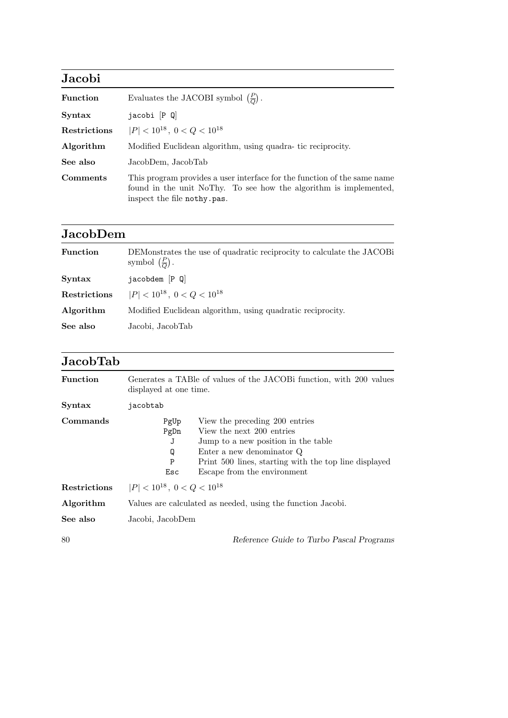| Jacobi          |                                                                                                                                                                              |  |  |
|-----------------|------------------------------------------------------------------------------------------------------------------------------------------------------------------------------|--|--|
| Function        | Evaluates the JACOBI symbol $\left(\frac{P}{Q}\right)$ .                                                                                                                     |  |  |
| Syntax          | $jacobi$ $[P Q]$                                                                                                                                                             |  |  |
| Restrictions    | $ P  < 10^{18}$ , $0 < Q < 10^{18}$                                                                                                                                          |  |  |
| Algorithm       | Modified Euclidean algorithm, using quadra-tic reciprocity.                                                                                                                  |  |  |
| See also        | JacobDem, JacobTab                                                                                                                                                           |  |  |
| <b>Comments</b> | This program provides a user interface for the function of the same name<br>found in the unit NoThy. To see how the algorithm is implemented,<br>inspect the file nothy.pas. |  |  |

## JacobDem

| <b>Function</b> | DEMonstrates the use of quadratic reciprocity to calculate the JACOB<br>symbol $\left(\frac{P}{Q}\right)$ . |  |
|-----------------|-------------------------------------------------------------------------------------------------------------|--|
| Syntax          | jacobdem [P Q]                                                                                              |  |
| Restrictions    | $ P  < 10^{18}$ , $0 < Q < 10^{18}$                                                                         |  |
| Algorithm       | Modified Euclidean algorithm, using quadratic reciprocity.                                                  |  |
| See also        | Jacobi, JacobTab                                                                                            |  |

# JacobTab

| <b>Function</b> | Generates a TABle of values of the JACOB function, with 200 values<br>displayed at one time.                                                                                                                                                                          |  |
|-----------------|-----------------------------------------------------------------------------------------------------------------------------------------------------------------------------------------------------------------------------------------------------------------------|--|
| <b>Syntax</b>   | jacobtab                                                                                                                                                                                                                                                              |  |
| Commands        | View the preceding 200 entries<br>PgUp<br>View the next 200 entries<br>PgDn<br>Jump to a new position in the table<br>J<br>Enter a new denominator Q<br>Q<br>${\bf P}$<br>Print 500 lines, starting with the top line displayed<br>Escape from the environment<br>Esc |  |
| Restrictions    | $ P  < 10^{18}$ , $0 < Q < 10^{18}$                                                                                                                                                                                                                                   |  |
| Algorithm       | Values are calculated as needed, using the function Jacobi.                                                                                                                                                                                                           |  |
| See also        | Jacobi, JacobDem                                                                                                                                                                                                                                                      |  |
| 80              | Reference Guide to Turbo Pascal Programs                                                                                                                                                                                                                              |  |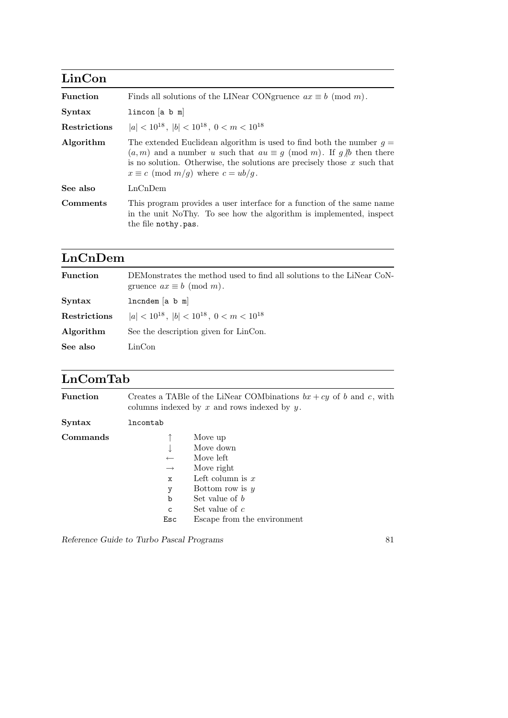| LinCon          |                                                                                                                                                                                                                                                                                      |
|-----------------|--------------------------------------------------------------------------------------------------------------------------------------------------------------------------------------------------------------------------------------------------------------------------------------|
| <b>Function</b> | Finds all solutions of the LINear CONgruence $ax \equiv b \pmod{m}$ .                                                                                                                                                                                                                |
| Syntax          | lincon[a b m]                                                                                                                                                                                                                                                                        |
| Restrictions    | $ a  < 10^{18}$ , $ b  < 10^{18}$ , $0 < m < 10^{18}$                                                                                                                                                                                                                                |
| Algorithm       | The extended Euclidean algorithm is used to find both the number $q =$<br>$(a, m)$ and a number u such that $au \equiv g \pmod{m}$ . If $g/b$ then there<br>is no solution. Otherwise, the solutions are precisely those $x$ such that<br>$x \equiv c \pmod{m/q}$ where $c = ub/q$ . |
| See also        | LnChDem                                                                                                                                                                                                                                                                              |
| Comments        | This program provides a user interface for a function of the same name<br>in the unit NoThy. To see how the algorithm is implemented, inspect<br>the file nothy.pas.                                                                                                                 |

## LnCnDem

| Function     | DEMonstrates the method used to find all solutions to the LiNear CoN-<br>gruence $ax \equiv b \pmod{m}$ . |  |
|--------------|-----------------------------------------------------------------------------------------------------------|--|
| Syntax       | $lncndem$ [a b m]                                                                                         |  |
| Restrictions | $ a  < 10^{18}$ , $ b  < 10^{18}$ , $0 < m < 10^{18}$                                                     |  |
| Algorithm    | See the description given for LinCon.                                                                     |  |
| See also     | LinCon                                                                                                    |  |
|              |                                                                                                           |  |

### LnComTab

| <b>Function</b> |                                                                      | Creates a TABle of the LiNear COMbinations $bx + cy$ of b and c, with<br>columns indexed by $x$ and rows indexed by $y$ . |
|-----------------|----------------------------------------------------------------------|---------------------------------------------------------------------------------------------------------------------------|
| Syntax          | lncomtab                                                             |                                                                                                                           |
| Commands        | $\leftarrow$<br>$\longrightarrow$<br>$\mathbf x$<br>у<br>$\mathbf b$ | Move up<br>Move down<br>Move left<br>Move right<br>Left column is $x$<br>Bottom row is $y$<br>Set value of $b$            |
|                 | $\mathsf{C}$<br>Esc                                                  | Set value of $c$<br>Escape from the environment                                                                           |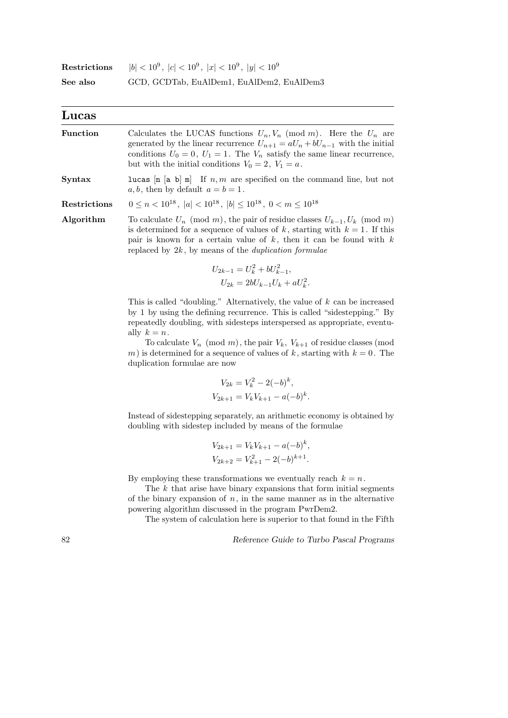| Restrictions | $ b  < 10^9$ , $ c  < 10^9$ , $ x  < 10^9$ , $ y  < 10^9$ |
|--------------|-----------------------------------------------------------|
| See also     | GCD, GCDTab, EuAlDem1, EuAlDem2, EuAlDem3                 |

| Lucas           |                                                                                                                                                                                                                                                                                                                                                                                                                                                          |
|-----------------|----------------------------------------------------------------------------------------------------------------------------------------------------------------------------------------------------------------------------------------------------------------------------------------------------------------------------------------------------------------------------------------------------------------------------------------------------------|
| <b>Function</b> | Calculates the LUCAS functions $U_n, V_n \pmod{m}$ . Here the $U_n$ are<br>generated by the linear recurrence $U_{n+1} = aU_n + bU_{n-1}$ with the initial<br>conditions $U_0 = 0$ , $U_1 = 1$ . The $V_n$ satisfy the same linear recurrence,<br>but with the initial conditions $V_0 = 2$ , $V_1 = a$ .                                                                                                                                                |
| Syntax          | <b>lucas</b> $[n \mid a \mid b] \equiv n$ If $n, m$ are specified on the command line, but not<br>$a, b$ , then by default $a = b = 1$ .                                                                                                                                                                                                                                                                                                                 |
| Restrictions    | $0 \le n < 10^{18}$ , $ a  < 10^{18}$ , $ b  \le 10^{18}$ , $0 < m \le 10^{18}$                                                                                                                                                                                                                                                                                                                                                                          |
| Algorithm       | To calculate $U_n \pmod{m}$ , the pair of residue classes $U_{k-1}, U_k \pmod{m}$<br>is determined for a sequence of values of k, starting with $k = 1$ . If this<br>pair is known for a certain value of $k$ , then it can be found with $k$<br>replaced by $2k$ , by means of the <i>duplication formulae</i>                                                                                                                                          |
|                 | $U_{2k-1} = U_k^2 + bU_{k-1}^2,$<br>$U_{2k} = 2bU_{k-1}U_k + aU_k^2$ .                                                                                                                                                                                                                                                                                                                                                                                   |
|                 | This is called "doubling." Alternatively, the value of $k$ can be increased<br>by 1 by using the defining recurrence. This is called "sidestepping." By<br>repeatedly doubling, with sidesteps interspersed as appropriate, eventu-<br>ally $k = n$ .<br>To calculate $V_n \pmod{m}$ , the pair $V_k$ , $V_{k+1}$ of residue classes (mod<br>m) is determined for a sequence of values of k, starting with $k = 0$ . The<br>duplication formulae are now |
|                 | $V_{2k} = V_k^2 - 2(-b)^k$ ,<br>$V_{2k+1} = V_k V_{k+1} - a(-b)^k$ .                                                                                                                                                                                                                                                                                                                                                                                     |
|                 | Instead of sidestepping separately, an arithmetic economy is obtained by<br>doubling with sidestep included by means of the formulae                                                                                                                                                                                                                                                                                                                     |
|                 | $V_{2k+1} = V_k V_{k+1} - a(-b)^k$ ,<br>$V_{2k+2} = V_{k+1}^2 - 2(-b)^{k+1}.$                                                                                                                                                                                                                                                                                                                                                                            |
|                 | By employing these transformations we eventually reach $k = n$ .<br>The $k$ that arise have binary expansions that form initial segments<br>of the binary expansion of $n$ , in the same manner as in the alternative                                                                                                                                                                                                                                    |

powering algorithm discussed in the program PwrDem2.

The system of calculation here is superior to that found in the Fifth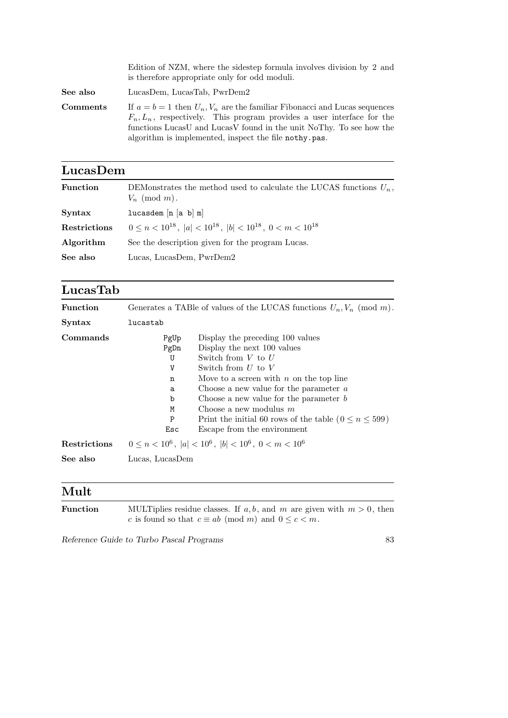|                 | Edition of NZM, where the sidestep formula involves division by 2 and<br>is therefore appropriate only for odd moduli.                                                                                                                                                                     |
|-----------------|--------------------------------------------------------------------------------------------------------------------------------------------------------------------------------------------------------------------------------------------------------------------------------------------|
| See also        | LucasDem, LucasTab, PwrDem2                                                                                                                                                                                                                                                                |
| <b>Comments</b> | If $a = b = 1$ then $U_n, V_n$ are the familiar Fibonacci and Lucas sequences<br>$F_n, L_n$ , respectively. This program provides a user interface for the<br>functions LucasU and LucasV found in the unit NoThy. To see how the<br>algorithm is implemented, inspect the file nothy pas. |

| LucasDem        |                                                                                           |
|-----------------|-------------------------------------------------------------------------------------------|
| <b>Function</b> | DEMonstrates the method used to calculate the LUCAS functions $U_n$ ,<br>$V_n \pmod{m}$ . |
| <b>Syntax</b>   | lucasdem $[n (a b) m]$                                                                    |
| Restrictions    | $0 \le n < 10^{18}$ , $ a  < 10^{18}$ , $ b  < 10^{18}$ , $0 < m < 10^{18}$               |
| Algorithm       | See the description given for the program Lucas.                                          |
| See also        | Lucas, LucasDem, PwrDem2                                                                  |
|                 |                                                                                           |

#### LucasTab

| <b>Function</b> |                                                        | Generates a TABle of values of the LUCAS functions $U_n, V_n \pmod{m}$ .                                                                                                                                                                                                                                                                                                            |
|-----------------|--------------------------------------------------------|-------------------------------------------------------------------------------------------------------------------------------------------------------------------------------------------------------------------------------------------------------------------------------------------------------------------------------------------------------------------------------------|
| Syntax          | lucastab                                               |                                                                                                                                                                                                                                                                                                                                                                                     |
| Commands        | PgUp<br>PgDn<br>U<br>V<br>n<br>a<br>b<br>M<br>P<br>Esc | Display the preceding 100 values<br>Display the next 100 values<br>Switch from $V$ to $U$<br>Switch from $U$ to $V$<br>Move to a screen with $n$ on the top line<br>Choose a new value for the parameter $a$<br>Choose a new value for the parameter $b$<br>Choose a new modulus $m$<br>Print the initial 60 rows of the table ( $0 \le n \le 599$ )<br>Escape from the environment |
| Restrictions    |                                                        | $0 \le n < 10^6$ , $ a  < 10^6$ , $ b  < 10^6$ , $0 < m < 10^6$                                                                                                                                                                                                                                                                                                                     |
| See also        | Lucas, LucasDem                                        |                                                                                                                                                                                                                                                                                                                                                                                     |

#### Mult

| <b>Function</b> | MULTiplies residue classes. If $a, b$ , and m are given with $m > 0$ , then |
|-----------------|-----------------------------------------------------------------------------|
|                 | c is found so that $c \equiv ab \pmod{m}$ and $0 \leq c < m$ .              |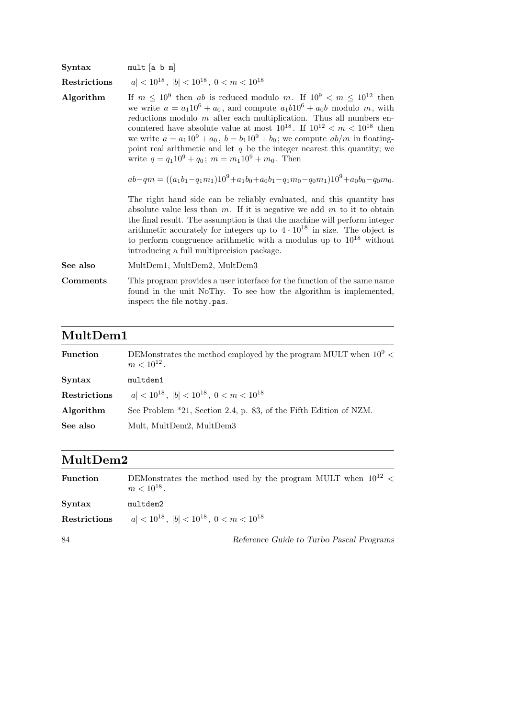| Syntax       | $mult$ [a b m]                                                                                                                                                                                                                                                                                                                                                                                                                                                                                                                                                    |
|--------------|-------------------------------------------------------------------------------------------------------------------------------------------------------------------------------------------------------------------------------------------------------------------------------------------------------------------------------------------------------------------------------------------------------------------------------------------------------------------------------------------------------------------------------------------------------------------|
| Restrictions | $ a  < 10^{18}$ , $ b  < 10^{18}$ , $0 < m < 10^{18}$                                                                                                                                                                                                                                                                                                                                                                                                                                                                                                             |
| Algorithm    | If $m \leq 10^9$ then ab is reduced modulo m. If $10^9 < m \leq 10^{12}$ then<br>we write $a = a_1 10^6 + a_0$ , and compute $a_1 b 10^6 + a_0 b$ modulo m, with<br>reductions modulo $m$ after each multiplication. Thus all numbers en-<br>countered have absolute value at most $10^{18}$ . If $10^{12} < m < 10^{18}$ then<br>we write $a = a_1 10^9 + a_0$ , $b = b_1 10^9 + b_0$ ; we compute $ab/m$ in floating-<br>point real arithmetic and let $q$ be the integer nearest this quantity; we<br>write $q = q_1 10^9 + q_0$ ; $m = m_1 10^9 + m_0$ . Then |
|              | $ab-qm = ((a_1b_1-q_1m_1)10^9+a_1b_0+a_0b_1-q_1m_0-q_0m_1)10^9+a_0b_0-q_0m_0.$                                                                                                                                                                                                                                                                                                                                                                                                                                                                                    |
|              | The right hand side can be reliably evaluated, and this quantity has<br>absolute value less than $m$ . If it is negative we add $m$ to it to obtain<br>the final result. The assumption is that the machine will perform integer<br>arithmetic accurately for integers up to $4 \cdot 10^{18}$ in size. The object is<br>to perform congruence arithmetic with a modulus up to $10^{18}$ without<br>introducing a full multiprecision package.                                                                                                                    |
| See also     | MultDem1, MultDem2, MultDem3                                                                                                                                                                                                                                                                                                                                                                                                                                                                                                                                      |
| Comments     | This program provides a user interface for the function of the same name<br>found in the unit NoThy. To see how the algorithm is implemented,<br>inspect the file nothy.pas.                                                                                                                                                                                                                                                                                                                                                                                      |
|              |                                                                                                                                                                                                                                                                                                                                                                                                                                                                                                                                                                   |

## MultDem1

| <b>Function</b> | DEMonstrates the method employed by the program MULT when $10^9$ <<br>$m < 10^{12}$ . |
|-----------------|---------------------------------------------------------------------------------------|
| Syntax          | multdem1                                                                              |
| Restrictions    | $ a  < 10^{18}$ , $ b  < 10^{18}$ , $0 < m < 10^{18}$                                 |
| Algorithm       | See Problem *21, Section 2.4, p. 83, of the Fifth Edition of NZM.                     |
| See also        | Mult, MultDem2, MultDem3                                                              |

### MultDem2

| <b>Function</b> | DEMonstrates the method used by the program MULT when $10^{12}$ <<br>$m < 10^{18}$ . |
|-----------------|--------------------------------------------------------------------------------------|
| Syntax          | multdem2                                                                             |
| Restrictions    | $ a  < 10^{18}$ , $ b  < 10^{18}$ , $0 < m < 10^{18}$                                |
| 84              | Reference Guide to Turbo Pascal Programs                                             |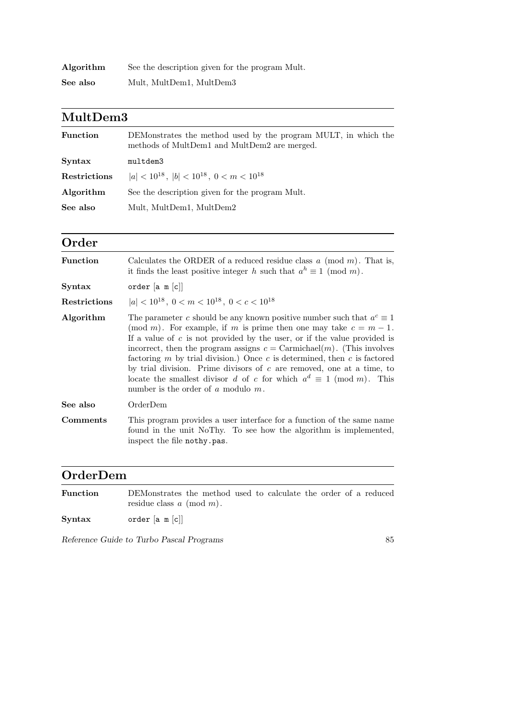| Algorithm | See the description given for the program Mult. |
|-----------|-------------------------------------------------|
| See also  | Mult, MultDem1, MultDem3                        |

#### MultDem3

| <b>Function</b> | DEMonstrates the method used by the program MULT, in which the<br>methods of MultDem1 and MultDem2 are merged. |
|-----------------|----------------------------------------------------------------------------------------------------------------|
| <b>Syntax</b>   | multdem3                                                                                                       |
| Restrictions    | $ a  < 10^{18}$ , $ b  < 10^{18}$ , $0 < m < 10^{18}$                                                          |
| Algorithm       | See the description given for the program Mult.                                                                |
| See also        | Mult, MultDem1, MultDem2                                                                                       |

#### Order

| Calculates the ORDER of a reduced residue class $a \pmod{m}$ . That is,<br>it finds the least positive integer h such that $a^h \equiv 1 \pmod{m}$ .                                                                                                                                                                                                                                                                                                                                                                                                                                                        |
|-------------------------------------------------------------------------------------------------------------------------------------------------------------------------------------------------------------------------------------------------------------------------------------------------------------------------------------------------------------------------------------------------------------------------------------------------------------------------------------------------------------------------------------------------------------------------------------------------------------|
| order $[a \ m[c]]$                                                                                                                                                                                                                                                                                                                                                                                                                                                                                                                                                                                          |
| $ a  < 10^{18}$ , $0 < m < 10^{18}$ , $0 < c < 10^{18}$                                                                                                                                                                                                                                                                                                                                                                                                                                                                                                                                                     |
| The parameter c should be any known positive number such that $a^c \equiv 1$<br>(mod m). For example, if m is prime then one may take $c = m - 1$ .<br>If a value of $c$ is not provided by the user, or if the value provided is<br>incorrect, then the program assigns $c = \text{Carmichael}(m)$ . (This involves<br>factoring $m$ by trial division.) Once $c$ is determined, then $c$ is factored<br>by trial division. Prime divisors of $c$ are removed, one at a time, to<br>locate the smallest divisor d of c for which $a^d \equiv 1 \pmod{m}$ . This<br>number is the order of $a$ modulo $m$ . |
| OrderDem                                                                                                                                                                                                                                                                                                                                                                                                                                                                                                                                                                                                    |
| This program provides a user interface for a function of the same name<br>found in the unit NoThy. To see how the algorithm is implemented,<br>inspect the file nothy.pas.                                                                                                                                                                                                                                                                                                                                                                                                                                  |
|                                                                                                                                                                                                                                                                                                                                                                                                                                                                                                                                                                                                             |

### OrderDem

| <b>Function</b> | DEMonstrates the method used to calculate the order of a reduced<br>residue class $a \pmod{m}$ . |
|-----------------|--------------------------------------------------------------------------------------------------|
| $S yntax$       | order $[a \ m c]$                                                                                |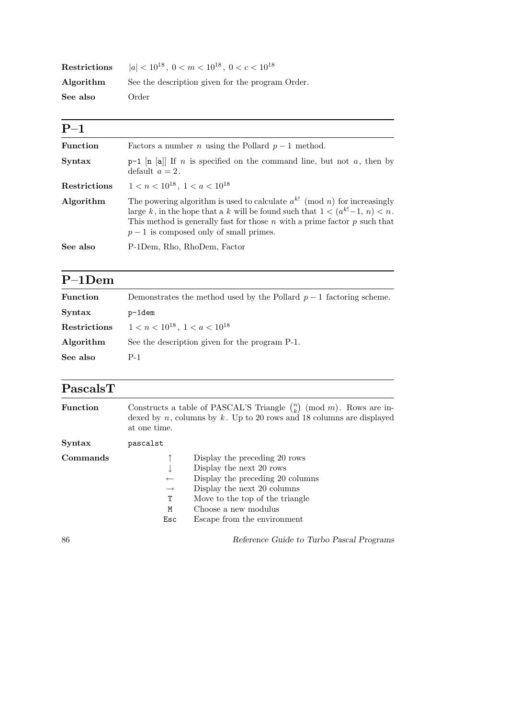| Restrictions | $ a  < 10^{18}$ , $0 < m < 10^{18}$ , $0 < c < 10^{18}$ |
|--------------|---------------------------------------------------------|
| Algorithm    | See the description given for the program Order.        |
| See also     | Order                                                   |

| $P-1$               |                                                                                                                                                                                                                                                                                                |
|---------------------|------------------------------------------------------------------------------------------------------------------------------------------------------------------------------------------------------------------------------------------------------------------------------------------------|
| <b>Function</b>     | Factors a number <i>n</i> using the Pollard $p-1$ method.                                                                                                                                                                                                                                      |
| <b>Syntax</b>       | $p-1$ [n [a]] If <i>n</i> is specified on the command line, but not <i>a</i> , then by<br>default $a=2$ .                                                                                                                                                                                      |
| <b>Restrictions</b> | $1 < n < 10^{18}$ , $1 < a < 10^{18}$                                                                                                                                                                                                                                                          |
| Algorithm           | The powering algorithm is used to calculate $a^{k!}$ (mod n) for increasingly<br>large k, in the hope that a k will be found such that $1 < (a^{k!} - 1, n) < n$ .<br>This method is generally fast for those $n$ with a prime factor $p$ such that<br>$p-1$ is composed only of small primes. |
| See also            | P-1Dem, Rho, RhoDem, Factor                                                                                                                                                                                                                                                                    |

# P–1Dem

| <b>Function</b> | Demonstrates the method used by the Pollard $p-1$ factoring scheme. |
|-----------------|---------------------------------------------------------------------|
| Syntax          | p-1dem                                                              |
| Restrictions    | $1 < n < 10^{18}$ , $1 < a < 10^{18}$                               |
| Algorithm       | See the description given for the program P-1.                      |
| See also        | P-1                                                                 |

| PascalsT |
|----------|
|----------|

| <b>Function</b> | Constructs a table of PASCAL'S Triangle $\binom{n}{k}$ (mod m). Rows are in-<br>dexed by $n$ , columns by $k$ . Up to 20 rows and 18 columns are displayed<br>at one time.                                                                                                       |
|-----------------|----------------------------------------------------------------------------------------------------------------------------------------------------------------------------------------------------------------------------------------------------------------------------------|
| Syntax          | pascalst                                                                                                                                                                                                                                                                         |
| Commands        | Display the preceding 20 rows<br>Display the next 20 rows<br>Display the preceding 20 columns<br>$\longleftarrow$<br>Display the next 20 columns<br>$\longrightarrow$<br>Move to the top of the triangle<br>Τ<br>Choose a new modulus<br>М<br>Escape from the environment<br>Esc |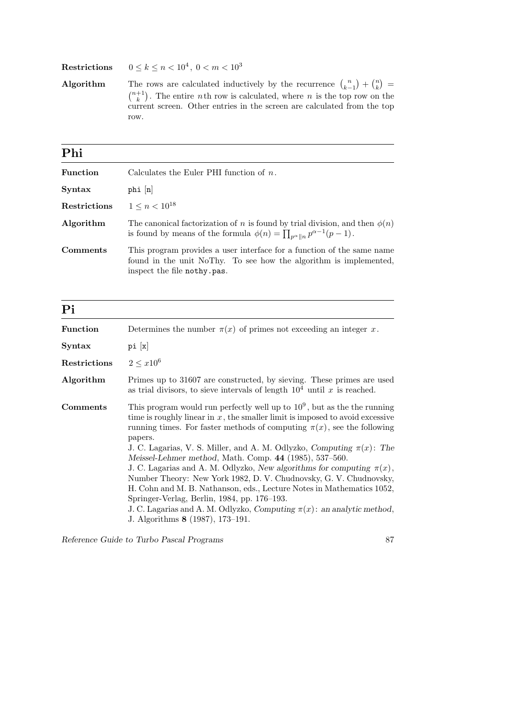$\textbf{Restrictions} \qquad 0 \leq k \leq n < 10^4, \; 0 < m < 10^3$ 

Algorithm The rows are calculated inductively by the recurrence  $\binom{n}{k-1} + \binom{n}{k}$  $\binom{n}{k}$  =  $\binom{n+1}{k}$  $\binom{+1}{k}$ . The entire *n*th row is calculated, where *n* is the top row on the current screen. Other entries in the screen are calculated from the top row.

#### Phi

| <b>Function</b> | Calculates the Euler PHI function of $n$ .                                                                                                                                       |
|-----------------|----------------------------------------------------------------------------------------------------------------------------------------------------------------------------------|
| Syntax          | $phi$ $[n]$                                                                                                                                                                      |
| Restrictions    | $1 \leq n \leq 10^{18}$                                                                                                                                                          |
| Algorithm       | The canonical factorization of n is found by trial division, and then $\phi(n)$<br>is found by means of the formula $\phi(n) = \prod_{n \alpha \parallel n} p^{\alpha-1}(p-1)$ . |
| Comments        | This program provides a user interface for a function of the same name<br>found in the unit NoThy. To see how the algorithm is implemented,<br>inspect the file nothy.pas.       |

| Pi              |                                                                                                                                                                                                                                                                                                                                                                                                                                                                                                                                                                                                                                                                                                                                                                                            |
|-----------------|--------------------------------------------------------------------------------------------------------------------------------------------------------------------------------------------------------------------------------------------------------------------------------------------------------------------------------------------------------------------------------------------------------------------------------------------------------------------------------------------------------------------------------------------------------------------------------------------------------------------------------------------------------------------------------------------------------------------------------------------------------------------------------------------|
| <b>Function</b> | Determines the number $\pi(x)$ of primes not exceeding an integer x.                                                                                                                                                                                                                                                                                                                                                                                                                                                                                                                                                                                                                                                                                                                       |
| Syntax          | pi[x]                                                                                                                                                                                                                                                                                                                                                                                                                                                                                                                                                                                                                                                                                                                                                                                      |
| Restrictions    | $2 < x10^6$                                                                                                                                                                                                                                                                                                                                                                                                                                                                                                                                                                                                                                                                                                                                                                                |
| Algorithm       | Primes up to 31607 are constructed, by sieving. These primes are used<br>as trial divisors, to sieve intervals of length $10^4$ until x is reached.                                                                                                                                                                                                                                                                                                                                                                                                                                                                                                                                                                                                                                        |
| <b>Comments</b> | This program would run perfectly well up to $109$ , but as the the running<br>time is roughly linear in $x$ , the smaller limit is imposed to avoid excessive<br>running times. For faster methods of computing $\pi(x)$ , see the following<br>papers.<br>J. C. Lagarias, V. S. Miller, and A. M. Odlyzko, Computing $\pi(x)$ : The<br>Meissel-Lehmer method, Math. Comp. 44 (1985), 537-560.<br>J. C. Lagarias and A. M. Odlyzko, New algorithms for computing $\pi(x)$ ,<br>Number Theory: New York 1982, D. V. Chudnovsky, G. V. Chudnovsky,<br>H. Cohn and M. B. Nathanson, eds., Lecture Notes in Mathematics 1052,<br>Springer-Verlag, Berlin, 1984, pp. 176–193.<br>J. C. Lagarias and A. M. Odlyzko, Computing $\pi(x)$ : an analytic method,<br>J. Algorithms 8 (1987), 173-191. |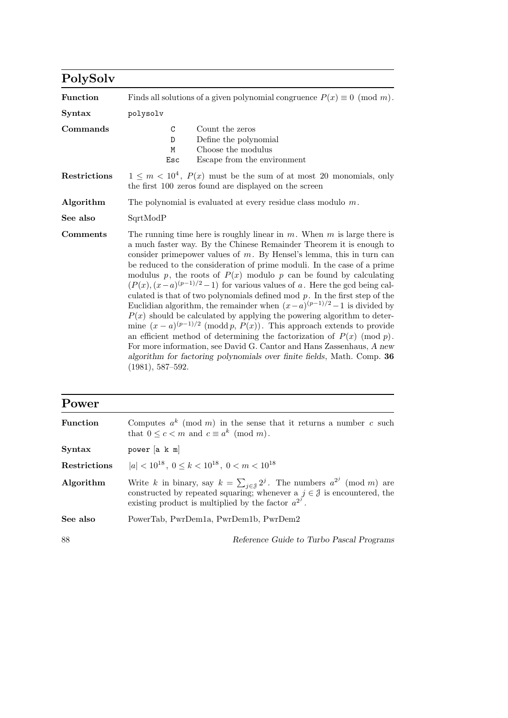| PolySolv        |                                                                                                                                                                                                                                                                                                                                                                                                                                                                                                                                                                                                                                                                                                                                                                                                                                                                                                                                                                                                                                                 |
|-----------------|-------------------------------------------------------------------------------------------------------------------------------------------------------------------------------------------------------------------------------------------------------------------------------------------------------------------------------------------------------------------------------------------------------------------------------------------------------------------------------------------------------------------------------------------------------------------------------------------------------------------------------------------------------------------------------------------------------------------------------------------------------------------------------------------------------------------------------------------------------------------------------------------------------------------------------------------------------------------------------------------------------------------------------------------------|
| <b>Function</b> | Finds all solutions of a given polynomial congruence $P(x) \equiv 0 \pmod{m}$ .                                                                                                                                                                                                                                                                                                                                                                                                                                                                                                                                                                                                                                                                                                                                                                                                                                                                                                                                                                 |
| Syntax          | polysolv                                                                                                                                                                                                                                                                                                                                                                                                                                                                                                                                                                                                                                                                                                                                                                                                                                                                                                                                                                                                                                        |
| Commands        | $\mathcal{C}$<br>Count the zeros<br>Define the polynomial<br>D<br>Choose the modulus<br>M<br>Escape from the environment<br>Esc                                                                                                                                                                                                                                                                                                                                                                                                                                                                                                                                                                                                                                                                                                                                                                                                                                                                                                                 |
| Restrictions    | $1 \leq m < 10^4$ , $P(x)$ must be the sum of at most 20 monomials, only<br>the first 100 zeros found are displayed on the screen                                                                                                                                                                                                                                                                                                                                                                                                                                                                                                                                                                                                                                                                                                                                                                                                                                                                                                               |
| Algorithm       | The polynomial is evaluated at every residue class modulo $m$ .                                                                                                                                                                                                                                                                                                                                                                                                                                                                                                                                                                                                                                                                                                                                                                                                                                                                                                                                                                                 |
| See also        | SqrtModP                                                                                                                                                                                                                                                                                                                                                                                                                                                                                                                                                                                                                                                                                                                                                                                                                                                                                                                                                                                                                                        |
| <b>Comments</b> | The running time here is roughly linear in $m$ . When $m$ is large there is<br>a much faster way. By the Chinese Remainder Theorem it is enough to<br>consider prime power values of $m$ . By Hensel's lemma, this in turn can<br>be reduced to the consideration of prime moduli. In the case of a prime<br>modulus p, the roots of $P(x)$ modulo p can be found by calculating<br>$(P(x), (x-a)^{(p-1)/2} - 1)$ for various values of a. Here the gcd being cal-<br>culated is that of two polynomials defined mod $p$ . In the first step of the<br>Euclidian algorithm, the remainder when $(x-a)^{(p-1)/2}-1$ is divided by<br>$P(x)$ should be calculated by applying the powering algorithm to deter-<br>mine $(x-a)^{(p-1)/2}$ (modd p, $P(x)$ ). This approach extends to provide<br>an efficient method of determining the factorization of $P(x) \pmod{p}$ .<br>For more information, see David G. Cantor and Hans Zassenhaus, A new<br>algorithm for factoring polynomials over finite fields, Math. Comp. 36<br>$(1981), 587-592.$ |

| Power               |                                                                                                                                                                                                                                                    |
|---------------------|----------------------------------------------------------------------------------------------------------------------------------------------------------------------------------------------------------------------------------------------------|
| <b>Function</b>     | Computes $a^k \pmod{m}$ in the sense that it returns a number c such<br>that $0 \leq c \leq m$ and $c \equiv a^k \pmod{m}$ .                                                                                                                       |
| <b>Syntax</b>       | power [a k m]                                                                                                                                                                                                                                      |
| <b>Restrictions</b> | $ a  < 10^{18}$ , $0 \le k < 10^{18}$ , $0 \le m < 10^{18}$                                                                                                                                                                                        |
| Algorithm           | Write k in binary, say $k = \sum_{i \in \mathcal{J}} 2^i$ . The numbers $a^{2^i} \pmod{m}$ are<br>constructed by repeated squaring; whenever a $j \in \mathcal{J}$ is encountered, the<br>existing product is multiplied by the factor $a^{2^j}$ . |
| See also            | PowerTab, PwrDem1a, PwrDem1b, PwrDem2                                                                                                                                                                                                              |
| 88                  | Reference Guide to Turbo Pascal Programs                                                                                                                                                                                                           |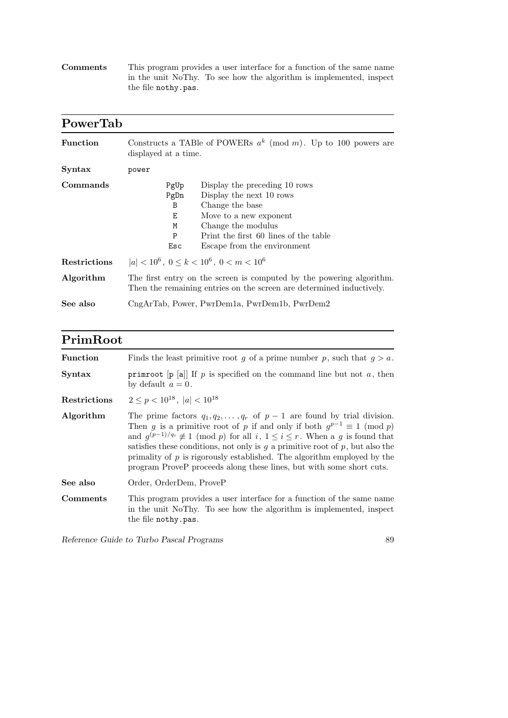| $Comments$ | This program provides a user interface for a function of the same name |
|------------|------------------------------------------------------------------------|
|            | in the unit NoThy. To see how the algorithm is implemented, inspect    |
|            | the file nothy.pas.                                                    |

| PowerTab        |                                                                                                                                                                                                                                                 |  |
|-----------------|-------------------------------------------------------------------------------------------------------------------------------------------------------------------------------------------------------------------------------------------------|--|
| <b>Function</b> | Constructs a TABle of POWERs $a^k \pmod{m}$ . Up to 100 powers are<br>displayed at a time.                                                                                                                                                      |  |
| Syntax          | power                                                                                                                                                                                                                                           |  |
| Commands        | Display the preceding 10 rows<br>PgUp<br>Display the next 10 rows<br>PgDn<br>Change the base<br>B<br>Е<br>Move to a new exponent<br>Change the modulus<br>M<br>Print the first 60 lines of the table<br>P<br>Esc<br>Escape from the environment |  |
| Restrictions    | $ a  < 10^6$ , $0 \le k < 10^6$ , $0 \le m < 10^6$                                                                                                                                                                                              |  |
| Algorithm       | The first entry on the screen is computed by the powering algorithm.<br>Then the remaining entries on the screen are determined inductively.                                                                                                    |  |
| See also        | CngArTab, Power, PwrDem1a, PwrDem1b, PwrDem2                                                                                                                                                                                                    |  |

### PrimRoot

| <b>Function</b> | Finds the least primitive root g of a prime number p, such that $g > a$ .                                                                                                                                                                                                                                                                                                                                                                                                                                        |
|-----------------|------------------------------------------------------------------------------------------------------------------------------------------------------------------------------------------------------------------------------------------------------------------------------------------------------------------------------------------------------------------------------------------------------------------------------------------------------------------------------------------------------------------|
| <b>Syntax</b>   | primroot $[p a]$ If p is specified on the command line but not a, then<br>by default $a=0$ .                                                                                                                                                                                                                                                                                                                                                                                                                     |
| Restrictions    | $2 < p < 10^{18}$ , $ a  < 10^{18}$                                                                                                                                                                                                                                                                                                                                                                                                                                                                              |
| Algorithm       | The prime factors $q_1, q_2, \ldots, q_r$ of $p-1$ are found by trial division.<br>Then g is a primitive root of p if and only if both $g^{p-1} \equiv 1 \pmod{p}$<br>and $g^{(p-1)/q_i} \not\equiv 1 \pmod{p}$ for all $i, 1 \leq i \leq r$ . When a g is found that<br>satisfies these conditions, not only is $q$ a primitive root of $p$ , but also the<br>primality of $p$ is rigorously established. The algorithm employed by the<br>program ProveP proceeds along these lines, but with some short cuts. |
| See also        | Order, OrderDem, ProveP                                                                                                                                                                                                                                                                                                                                                                                                                                                                                          |
| Comments        | This program provides a user interface for a function of the same name<br>in the unit NoThy. To see how the algorithm is implemented, inspect<br>the file nothy.pas.                                                                                                                                                                                                                                                                                                                                             |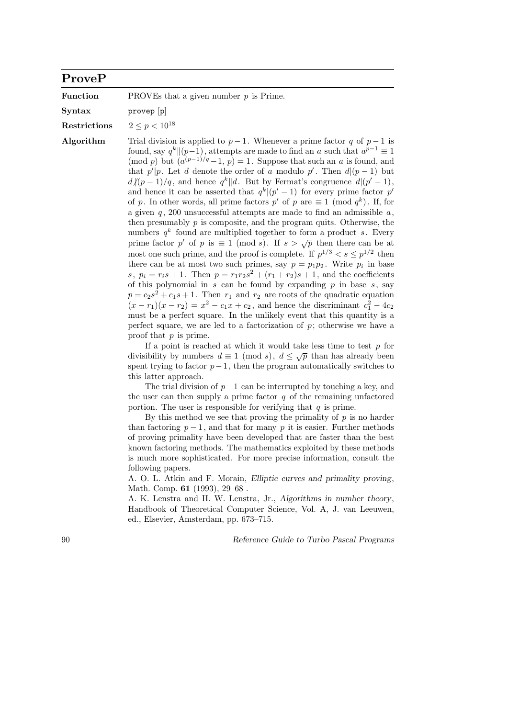#### ProveP

**Function** PROVEs that a given number  $p$  is Prime.

Syntax provep [p]

Restrictions  $2 \le p \le 10^{18}$ 

Algorithm Trial division is applied to  $p-1$ . Whenever a prime factor q of  $p-1$  is found, say  $q^k \|(p-1)$ , attempts are made to find an a such that  $a^{p-1} \equiv 1$ (mod p) but  $(a^{(p-1)/q}-1, p) = 1$ . Suppose that such an a is found, and that  $p'|p$ . Let d denote the order of a modulo p'. Then  $d|(p-1)$  but  $d\|(p-1)/q$ , and hence  $q^k\|d$ . But by Fermat's congruence  $d|(p'-1)$ , and hence it can be asserted that  $q^k|(p'-1)$  for every prime factor p' of p. In other words, all prime factors  $p'$  of p are  $\equiv 1 \pmod{q^k}$ . If, for a given  $q$ , 200 unsuccessful attempts are made to find an admissible  $a$ , then presumably  $p$  is composite, and the program quits. Otherwise, the numbers  $q^k$  found are multiplied together to form a product s. Every numbers q<sup>-</sup> found are multiplied together to form a product s. Every<br>prime factor p' of p is  $\equiv 1 \pmod{s}$ . If  $s > \sqrt{p}$  then there can be at most one such prime, and the proof is complete. If  $p^{1/3} < s \leq p^{1/2}$  then there can be at most two such primes, say  $p = p_1 p_2$ . Write  $p_i$  in base s,  $p_i = r_i s + 1$ . Then  $p = r_1 r_2 s^2 + (r_1 + r_2)s + 1$ , and the coefficients of this polynomial in s can be found by expanding  $p$  in base  $s$ , say  $p = c_2s^2 + c_1s + 1$ . Then  $r_1$  and  $r_2$  are roots of the quadratic equation  $(x - r_1)(x - r_2) = x^2 - c_1x + c_2$ , and hence the discriminant  $c_1^2 - 4c_2$ must be a perfect square. In the unlikely event that this quantity is a perfect square, we are led to a factorization of  $p$ ; otherwise we have a proof that p is prime.

> If a point is reached at which it would take less time to test  $p$  for If a point is reached at which it would take less time to test p for<br>divisibility by numbers  $d \equiv 1 \pmod{s}$ ,  $d \leq \sqrt{p}$  than has already been spent trying to factor  $p-1$ , then the program automatically switches to this latter approach.

> The trial division of  $p-1$  can be interrupted by touching a key, and the user can then supply a prime factor  $q$  of the remaining unfactored portion. The user is responsible for verifying that  $q$  is prime.

> By this method we see that proving the primality of  $p$  is no harder than factoring  $p-1$ , and that for many p it is easier. Further methods of proving primality have been developed that are faster than the best known factoring methods. The mathematics exploited by these methods is much more sophisticated. For more precise information, consult the following papers.

> A. O. L. Atkin and F. Morain, Elliptic curves and primality proving, Math. Comp. **61** (1993), 29–68.

> A. K. Lenstra and H. W. Lenstra, Jr., Algorithms in number theory, Handbook of Theoretical Computer Science, Vol. A, J. van Leeuwen, ed., Elsevier, Amsterdam, pp. 673–715.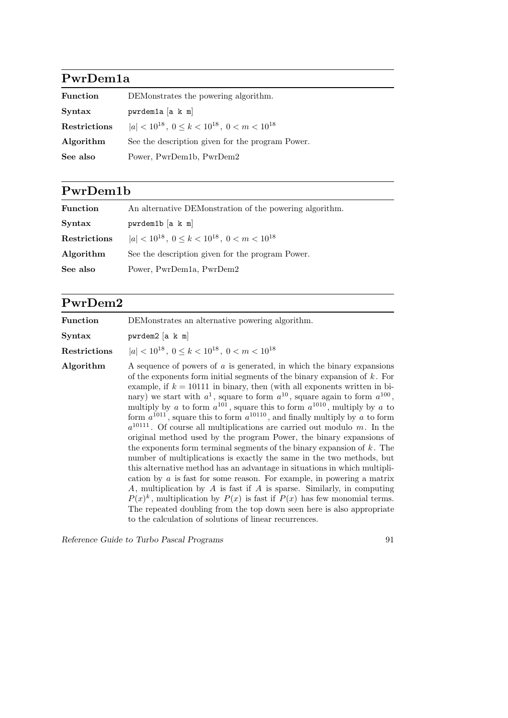### PwrDem1a

| Function     | DEMonstrates the powering algorithm.                        |  |
|--------------|-------------------------------------------------------------|--|
| Syntax       | pwrdem1a [a k m]                                            |  |
| Restrictions | $ a  < 10^{18}$ , $0 \le k < 10^{18}$ , $0 \le m < 10^{18}$ |  |
| Algorithm    | See the description given for the program Power.            |  |
| See also     | Power, PwrDem1b, PwrDem2                                    |  |

### PwrDem1b

| <b>Function</b>     | An alternative DEMonstration of the powering algorithm.     |
|---------------------|-------------------------------------------------------------|
| Syntax              | $pwrdem1b$ [a k m]                                          |
| <b>Restrictions</b> | $ a  < 10^{18}$ , $0 \le k < 10^{18}$ , $0 \le m < 10^{18}$ |
| Algorithm           | See the description given for the program Power.            |
| See also            | Power, PwrDem1a, PwrDem2                                    |

## PwrDem2

| <b>Function</b> | DEMonstrates an alternative powering algorithm.                                                                                                                                                                                                                                                                                                                                                                                                                                                                                                                                                                                                                                                                                                                                                                                                                                                                                                                                                                                                                                                                                                                                                                                                                                            |  |  |
|-----------------|--------------------------------------------------------------------------------------------------------------------------------------------------------------------------------------------------------------------------------------------------------------------------------------------------------------------------------------------------------------------------------------------------------------------------------------------------------------------------------------------------------------------------------------------------------------------------------------------------------------------------------------------------------------------------------------------------------------------------------------------------------------------------------------------------------------------------------------------------------------------------------------------------------------------------------------------------------------------------------------------------------------------------------------------------------------------------------------------------------------------------------------------------------------------------------------------------------------------------------------------------------------------------------------------|--|--|
| <b>Syntax</b>   | pwrdem2 [a k m]                                                                                                                                                                                                                                                                                                                                                                                                                                                                                                                                                                                                                                                                                                                                                                                                                                                                                                                                                                                                                                                                                                                                                                                                                                                                            |  |  |
| Restrictions    | $ a  < 10^{18}$ , $0 \le k < 10^{18}$ , $0 \le m < 10^{18}$                                                                                                                                                                                                                                                                                                                                                                                                                                                                                                                                                                                                                                                                                                                                                                                                                                                                                                                                                                                                                                                                                                                                                                                                                                |  |  |
| Algorithm       | A sequence of powers of $a$ is generated, in which the binary expansions<br>of the exponents form initial segments of the binary expansion of $k$ . For<br>example, if $k = 10111$ in binary, then (with all exponents written in bi-<br>nary) we start with $a^1$ , square to form $a^{10}$ , square again to form $a^{100}$ ,<br>multiply by a to form $a^{101}$ , square this to form $a^{1010}$ , multiply by a to<br>form $a^{1011}$ , square this to form $a^{10110}$ , and finally multiply by a to form<br>$a^{10111}$ . Of course all multiplications are carried out modulo m. In the<br>original method used by the program Power, the binary expansions of<br>the exponents form terminal segments of the binary expansion of $k$ . The<br>number of multiplications is exactly the same in the two methods, but<br>this alternative method has an advantage in situations in which multipli-<br>cation by $a$ is fast for some reason. For example, in powering a matrix<br>$A$ , multiplication by $A$ is fast if $A$ is sparse. Similarly, in computing<br>$P(x)^k$ , multiplication by $P(x)$ is fast if $P(x)$ has few monomial terms.<br>The repeated doubling from the top down seen here is also appropriate<br>to the calculation of solutions of linear recurrences. |  |  |

Reference Guide to Turbo Pascal Programs 91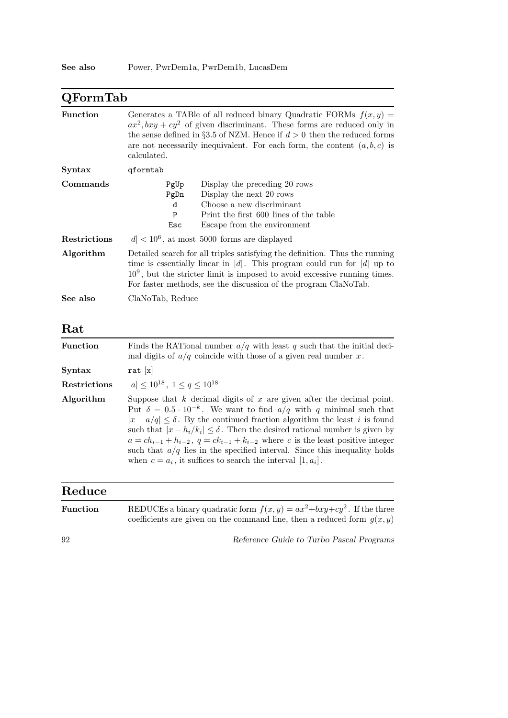| $\operatorname{QFormTab}$ |                                                                                                                                                                                                                                                                                                                             |  |
|---------------------------|-----------------------------------------------------------------------------------------------------------------------------------------------------------------------------------------------------------------------------------------------------------------------------------------------------------------------------|--|
| <b>Function</b>           | Generates a TABle of all reduced binary Quadratic FORMs $f(x, y) =$<br>$ax^2, bxy + cy^2$ of given discriminant. These forms are reduced only in<br>the sense defined in §3.5 of NZM. Hence if $d > 0$ then the reduced forms<br>are not necessarily inequivalent. For each form, the content $(a, b, c)$ is<br>calculated. |  |
| Syntax                    | qformtab                                                                                                                                                                                                                                                                                                                    |  |
| Commands                  | Display the preceding 20 rows<br>PgUp<br>Display the next 20 rows<br>PgDn<br>Choose a new discriminant<br>d<br>Print the first 600 lines of the table<br>$\mathbf P$<br>Escape from the environment<br>Esc                                                                                                                  |  |
| Restrictions              | $ d  < 10^6$ , at most 5000 forms are displayed                                                                                                                                                                                                                                                                             |  |
| Algorithm                 | Detailed search for all triples satisfying the definition. Thus the running<br>time is essentially linear in $ d $ . This program could run for $ d $ up to<br>$109$ , but the stricter limit is imposed to avoid excessive running times.<br>For faster methods, see the discussion of the program ClaNoTab.               |  |
| See also                  | ClaNoTab, Reduce                                                                                                                                                                                                                                                                                                            |  |
| Rat                       |                                                                                                                                                                                                                                                                                                                             |  |
| <b>Function</b>           | Finds the RATional number $a/q$ with least q such that the initial deci-<br>mal digits of $a/q$ coincide with those of a given real number x.                                                                                                                                                                               |  |
| <b>Syntax</b>             | rat $ x $                                                                                                                                                                                                                                                                                                                   |  |

| $\operatorname{Restrictions}$ | $ a  \leq 10^{18}, 1 \leq q \leq 10^{18}$         |
|-------------------------------|---------------------------------------------------|
|                               | Algonithm Suppose that <i>k</i> desimal digits of |

Algorithm Suppose that  $k$  decimal digits of  $x$  are given after the decimal point. Put  $\delta = 0.5 \cdot 10^{-k}$ . We want to find  $a/q$  with q minimal such that  $|x - a/q| \leq \delta$ . By the continued fraction algorithm the least i is found such that  $|x - h_i/k_i| \le \delta$ . Then the desired rational number is given by  $a = ch_{i-1} + h_{i-2}, q = ck_{i-1} + k_{i-2}$  where c is the least positive integer such that  $a/q$  lies in the specified interval. Since this inequality holds when  $c = a_i$ , it suffices to search the interval  $[1, a_i]$ .

#### Reduce

| <b>Function</b> | REDUCEs a binary quadratic form $f(x, y) = ax^2 + bxy + cy^2$ . If the three<br>coefficients are given on the command line, then a reduced form $g(x, y)$ |
|-----------------|-----------------------------------------------------------------------------------------------------------------------------------------------------------|
| 92              | Reference Guide to Turbo Pascal Programs                                                                                                                  |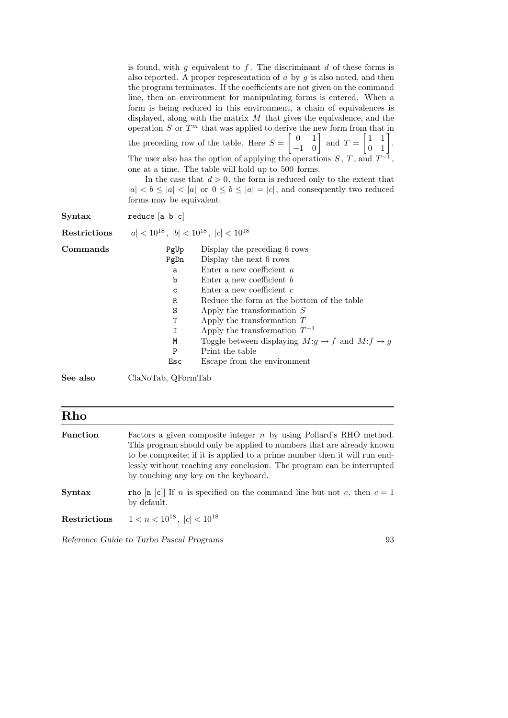|               | is found, with g equivalent to f. The discriminant d of these forms is<br>also reported. A proper representation of $\alpha$ by $\gamma$ is also noted, and then<br>the program terminates. If the coefficients are not given on the command<br>line, then an environment for manipulating forms is entered. When a<br>form is being reduced in this environment, a chain of equivalences is<br>displayed, along with the matrix $M$ that gives the equivalence, and the<br>operation $S$ or $Tm$ that was applied to derive the new form from that in<br>the preceding row of the table. Here $S = \begin{bmatrix} 0 & 1 \\ -1 & 0 \end{bmatrix}$ and $T = \begin{bmatrix} 1 & 1 \\ 0 & 1 \end{bmatrix}$ .<br>The user also has the option of applying the operations $S, T$ , and $T^{-1}$ ,<br>one at a time. The table will hold up to 500 forms.<br>In the case that $d > 0$ , the form is reduced only to the extent that<br>$ a  < b \leq  a  <  a $ or $0 \leq b \leq  a  =  c $ , and consequently two reduced<br>forms may be equivalent. |                                                                                                                                                                                                                                                                                                                                                                                                                 |
|---------------|-----------------------------------------------------------------------------------------------------------------------------------------------------------------------------------------------------------------------------------------------------------------------------------------------------------------------------------------------------------------------------------------------------------------------------------------------------------------------------------------------------------------------------------------------------------------------------------------------------------------------------------------------------------------------------------------------------------------------------------------------------------------------------------------------------------------------------------------------------------------------------------------------------------------------------------------------------------------------------------------------------------------------------------------------------|-----------------------------------------------------------------------------------------------------------------------------------------------------------------------------------------------------------------------------------------------------------------------------------------------------------------------------------------------------------------------------------------------------------------|
| <b>Syntax</b> | reduce $[a, b, c]$                                                                                                                                                                                                                                                                                                                                                                                                                                                                                                                                                                                                                                                                                                                                                                                                                                                                                                                                                                                                                                  |                                                                                                                                                                                                                                                                                                                                                                                                                 |
| Restrictions  | $ a  < 10^{18}$ , $ b  < 10^{18}$ , $ c  < 10^{18}$                                                                                                                                                                                                                                                                                                                                                                                                                                                                                                                                                                                                                                                                                                                                                                                                                                                                                                                                                                                                 |                                                                                                                                                                                                                                                                                                                                                                                                                 |
| Commands      | PgUp<br>PgDn<br>a<br>b<br>С<br>R<br>$\rm S$<br>T<br>$\mathbf I$<br>M<br>$\mathbf P$<br>Esc                                                                                                                                                                                                                                                                                                                                                                                                                                                                                                                                                                                                                                                                                                                                                                                                                                                                                                                                                          | Display the preceding 6 rows<br>Display the next 6 rows<br>Enter a new coefficient a<br>Enter a new coefficient $b$<br>Enter a new coefficient $c$<br>Reduce the form at the bottom of the table<br>Apply the transformation $S$<br>Apply the transformation $T$<br>Apply the transformation $T^{-1}$<br>Toggle between displaying $M:g\to f$ and $M: f\to g$<br>Print the table<br>Escape from the environment |
| See also      | ClaNoTab, QFormTab                                                                                                                                                                                                                                                                                                                                                                                                                                                                                                                                                                                                                                                                                                                                                                                                                                                                                                                                                                                                                                  |                                                                                                                                                                                                                                                                                                                                                                                                                 |

| Rho             |                                                                                                                                                                                                                                                                                                                                              |
|-----------------|----------------------------------------------------------------------------------------------------------------------------------------------------------------------------------------------------------------------------------------------------------------------------------------------------------------------------------------------|
| <b>Function</b> | Factors a given composite integer $n$ by using Pollard's RHO method.<br>This program should only be applied to numbers that are already known<br>to be composite; if it is applied to a prime number then it will run end-<br>lessly without reaching any conclusion. The program can be interrupted<br>by touching any key on the keyboard. |
| Syntax          | rho $[n c]$ If n is specified on the command line but not c, then $c = 1$<br>by default.                                                                                                                                                                                                                                                     |
| Restrictions    | $1 < n < 10^{18}$ , $ c  < 10^{18}$                                                                                                                                                                                                                                                                                                          |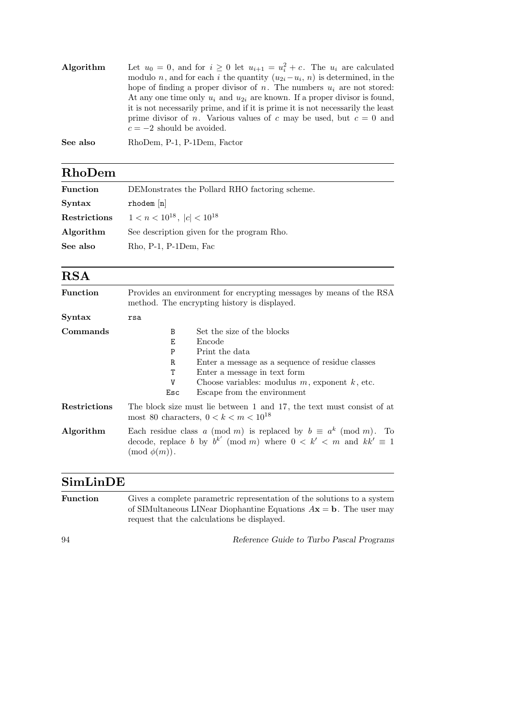| Algorithm | Let $u_0 = 0$ , and for $i \geq 0$ let $u_{i+1} = u_i^2 + c$ . The $u_i$ are calculated |
|-----------|-----------------------------------------------------------------------------------------|
|           | modulo n, and for each i the quantity $(u_{2i}-u_i, n)$ is determined, in the           |
|           | hope of finding a proper divisor of n. The numbers $u_i$ are not stored:                |
|           | At any one time only $u_i$ and $u_{2i}$ are known. If a proper divisor is found,        |
|           | it is not necessarily prime, and if it is prime it is not necessarily the least         |
|           | prime divisor of n. Various values of c may be used, but $c = 0$ and                    |
|           | $c = -2$ should be avoided.                                                             |
|           |                                                                                         |

See also RhoDem, P-1, P-1Dem, Factor

#### RhoDem

| <b>Function</b> | DEMonstrates the Pollard RHO factoring scheme. |
|-----------------|------------------------------------------------|
| Syntax          | $r$ hodem $[n]$                                |
| Restrictions    | $1 < n < 10^{18}$ , $ c  < 10^{18}$            |
| Algorithm       | See description given for the program Rho.     |
| See also        | $Rho$ , P-1, P-1Dem, Fac                       |
|                 |                                                |

#### RSA

| <b>Function</b> | Provides an environment for encrypting messages by means of the RSA<br>method. The encrypting history is displayed.                                                                |                                                     |
|-----------------|------------------------------------------------------------------------------------------------------------------------------------------------------------------------------------|-----------------------------------------------------|
| <b>Syntax</b>   | rsa                                                                                                                                                                                |                                                     |
| Commands        | B                                                                                                                                                                                  | Set the size of the blocks                          |
|                 | Е                                                                                                                                                                                  | Encode                                              |
|                 | P                                                                                                                                                                                  | Print the data                                      |
|                 | $\mathbf R$                                                                                                                                                                        | Enter a message as a sequence of residue classes    |
|                 | Т                                                                                                                                                                                  | Enter a message in text form                        |
|                 | V                                                                                                                                                                                  | Choose variables: modulus $m$ , exponent $k$ , etc. |
|                 | Esc                                                                                                                                                                                | Escape from the environment                         |
| Restrictions    | The block size must lie between 1 and 17, the text must consist of at<br>most 80 characters, $0 < k < m < 10^{18}$                                                                 |                                                     |
| Algorithm       | Each residue class a (mod m) is replaced by $b \equiv a^k \pmod{m}$ . To<br>decode, replace b by $b^{k'} \pmod{m}$ where $0 \lt k' \lt m$ and $kk' \equiv 1$<br>$\pmod{\phi(m)}$ . |                                                     |

### SimLinDE

| <b>Function</b> | Gives a complete parametric representation of the solutions to a system<br>of SIMultaneous LINear Diophantine Equations $A\mathbf{x} = \mathbf{b}$ . The user may<br>request that the calculations be displayed. |
|-----------------|------------------------------------------------------------------------------------------------------------------------------------------------------------------------------------------------------------------|
| 94              | Reference Guide to Turbo Pascal Programs                                                                                                                                                                         |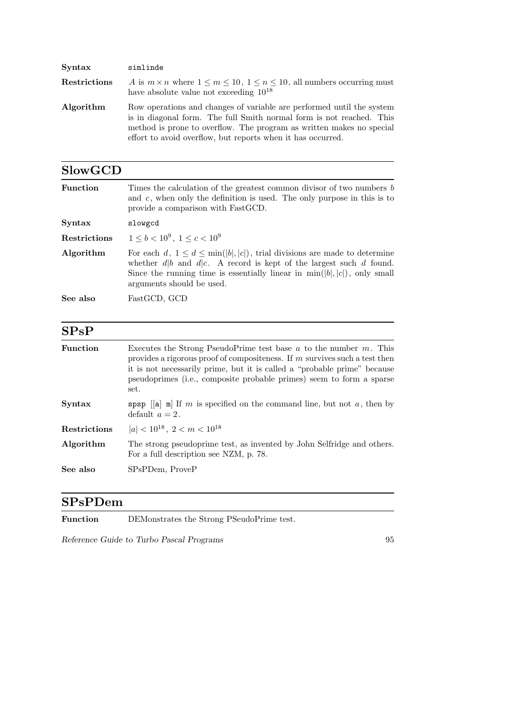| <b>Syntax</b> | simlinde                                                                                                                                                                                                                                                                             |
|---------------|--------------------------------------------------------------------------------------------------------------------------------------------------------------------------------------------------------------------------------------------------------------------------------------|
| Restrictions  | A is $m \times n$ where $1 \leq m \leq 10$ , $1 \leq n \leq 10$ , all numbers occurring must<br>have absolute value not exceeding $10^{18}$                                                                                                                                          |
| Algorithm     | Row operations and changes of variable are performed until the system<br>is in diagonal form. The full Smith normal form is not reached. This<br>method is prone to overflow. The program as written makes no special<br>effort to avoid overflow, but reports when it has occurred. |

| <b>SlowGCD</b>      |                                                                                                                                                                                                                                                                             |
|---------------------|-----------------------------------------------------------------------------------------------------------------------------------------------------------------------------------------------------------------------------------------------------------------------------|
| <b>Function</b>     | Times the calculation of the greatest common divisor of two numbers b<br>and $c$ , when only the definition is used. The only purpose in this is to<br>provide a comparison with FastGCD.                                                                                   |
| Syntax              | slowgcd                                                                                                                                                                                                                                                                     |
| <b>Restrictions</b> | $1 \leq b < 10^9$ , $1 \leq c < 10^9$                                                                                                                                                                                                                                       |
| Algorithm           | For each $d, 1 \leq d \leq \min( b ,  c )$ , trial divisions are made to determine<br>whether $d b$ and $d c$ . A record is kept of the largest such d found.<br>Since the running time is essentially linear in $\min( b ,  c )$ , only small<br>arguments should be used. |
| See also            | FastGCD, GCD                                                                                                                                                                                                                                                                |

## SPsP

| <b>Function</b>     | Executes the Strong PseudoPrime test base $a$ to the number $m$ . This<br>provides a rigorous proof of compositeness. If $m$ survives such a test then<br>it is not necessarily prime, but it is called a "probable prime" because<br>pseudoprimes (i.e., composite probable primes) seem to form a sparse<br>set. |  |
|---------------------|--------------------------------------------------------------------------------------------------------------------------------------------------------------------------------------------------------------------------------------------------------------------------------------------------------------------|--|
| <b>Syntax</b>       | spsp $\lceil a \rceil$ m is specified on the command line, but not a, then by<br>default $a=2$ .                                                                                                                                                                                                                   |  |
| <b>Restrictions</b> | $ a  < 10^{18}$ , $2 < m < 10^{18}$                                                                                                                                                                                                                                                                                |  |
| Algorithm           | The strong pseudoprime test, as invented by John Selfridge and others.<br>For a full description see NZM, p. 78.                                                                                                                                                                                                   |  |
| See also            | SP <sub>s</sub> PD <sub>em</sub> , ProveP                                                                                                                                                                                                                                                                          |  |
|                     |                                                                                                                                                                                                                                                                                                                    |  |

#### SPsPDem

Function DEMonstrates the Strong PSeudoPrime test.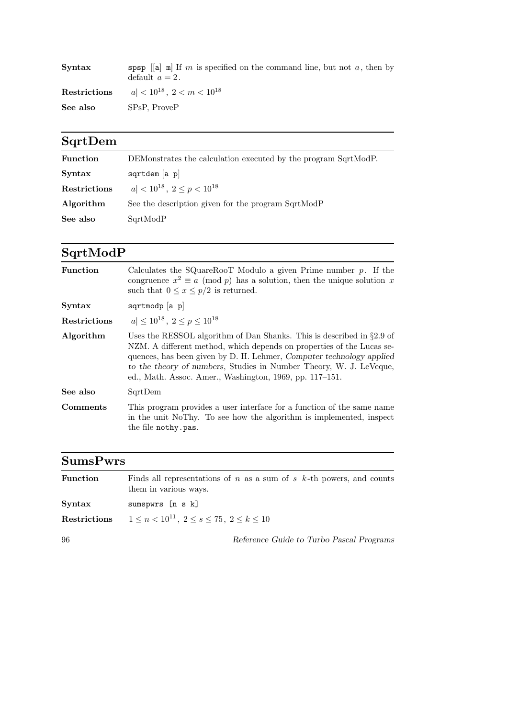| Syntax       | spsp $\lceil a \rceil$ m is specified on the command line, but not a, then by<br>default $a=2$ . |
|--------------|--------------------------------------------------------------------------------------------------|
| Restrictions | $ a  < 10^{18}$ , $2 < m < 10^{18}$                                                              |
| See also     | SPsP, ProveP                                                                                     |

# SqrtDem

| <b>Function</b> | DEMonstrates the calculation executed by the program SqrtModP. |
|-----------------|----------------------------------------------------------------|
| Syntax          | sqrtdem $[a, p]$                                               |
| Restrictions    | $ a  < 10^{18}$ , $2 \le p < 10^{18}$                          |
| Algorithm       | See the description given for the program SqrtModP             |
| See also        | SqrtModP                                                       |

# SqrtModP

| <b>Function</b>     | Calculates the SQuareRooT Modulo a given Prime number $p$ . If the<br>congruence $x^2 \equiv a \pmod{p}$ has a solution, then the unique solution x<br>such that $0 \leq x \leq p/2$ is returned.                                                                                                                                                           |
|---------------------|-------------------------------------------------------------------------------------------------------------------------------------------------------------------------------------------------------------------------------------------------------------------------------------------------------------------------------------------------------------|
| <b>Syntax</b>       | $sqrt{p}$ a p                                                                                                                                                                                                                                                                                                                                               |
| <b>Restrictions</b> | $ a  < 10^{18}$ , $2 < p < 10^{18}$                                                                                                                                                                                                                                                                                                                         |
| Algorithm           | Uses the RESSOL algorithm of Dan Shanks. This is described in $\S 2.9$ of<br>NZM. A different method, which depends on properties of the Lucas se-<br>quences, has been given by D. H. Lehmer, Computer technology applied<br>to the theory of numbers, Studies in Number Theory, W. J. LeVeque,<br>ed., Math. Assoc. Amer., Washington, 1969, pp. 117–151. |
| See also            | SqrtDem                                                                                                                                                                                                                                                                                                                                                     |
| Comments            | This program provides a user interface for a function of the same name<br>in the unit NoThy. To see how the algorithm is implemented, inspect<br>the file nothy.pas.                                                                                                                                                                                        |

## SumsPwrs

| <b>Function</b> | Finds all representations of n as a sum of s $k$ -th powers, and counts<br>them in various ways. |
|-----------------|--------------------------------------------------------------------------------------------------|
| Syntax          | sumspwrs [n s k]                                                                                 |
| Restrictions    | $1 \leq n < 10^{11}, \ 2 \leq s < 75, \ 2 \leq k < 10$                                           |
| 96              | Reference Guide to Turbo Pascal Programs                                                         |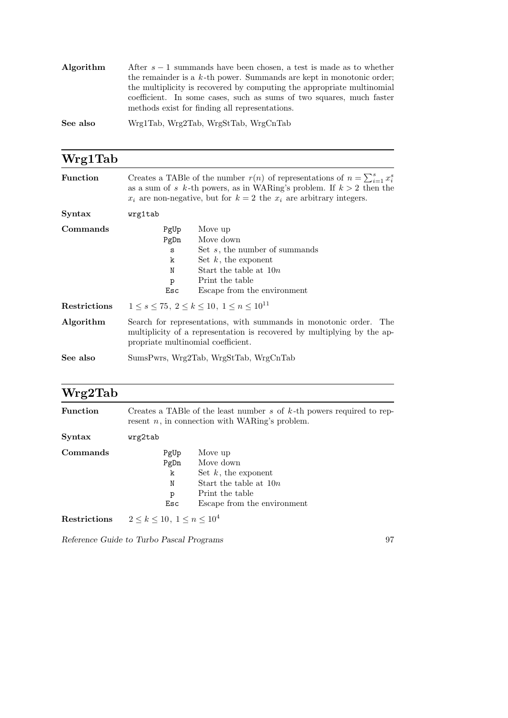| Algorithm | After $s-1$ summands have been chosen, a test is made as to whether     |
|-----------|-------------------------------------------------------------------------|
|           | the remainder is a $k$ -th power. Summands are kept in monotonic order; |
|           | the multiplicity is recovered by computing the appropriate multinomial  |
|           | coefficient. In some cases, such as sums of two squares, much faster    |
|           | methods exist for finding all representations.                          |
|           |                                                                         |

See also Wrg1Tab, Wrg2Tab, WrgStTab, WrgCnTab

| Wrg1Tab         |                                                                                                                                                                                                                                            |  |
|-----------------|--------------------------------------------------------------------------------------------------------------------------------------------------------------------------------------------------------------------------------------------|--|
| <b>Function</b> | Creates a TABle of the number $r(n)$ of representations of $n = \sum_{i=1}^{s} x_i^s$<br>as a sum of s k-th powers, as in WARing's problem. If $k > 2$ then the<br>$x_i$ are non-negative, but for $k=2$ the $x_i$ are arbitrary integers. |  |
| Syntax          | wrg1tab                                                                                                                                                                                                                                    |  |
| Commands        | Move up<br>PgUp<br>Move down<br>PgDn<br>Set $s$ , the number of summands<br>S<br>Set $k$ , the exponent<br>k<br>Start the table at $10n$<br>N<br>Print the table<br>p<br>Escape from the environment<br>Esc                                |  |
| Restrictions    | $1 \leq s \leq 75$ , $2 \leq k \leq 10$ , $1 \leq n \leq 10^{11}$                                                                                                                                                                          |  |
| Algorithm       | Search for representations, with summands in monotonic order. The<br>multiplicity of a representation is recovered by multiplying by the ap-<br>propriate multinomial coefficient.                                                         |  |
| See also        | SumsPwrs, Wrg2Tab, WrgStTab, WrgCnTab                                                                                                                                                                                                      |  |

# Wrg2Tab

| <b>Function</b> | Creates a TABle of the least number s of $k$ -th powers required to rep-<br>resent $n$ , in connection with WARing's problem. |                                                                                                                              |
|-----------------|-------------------------------------------------------------------------------------------------------------------------------|------------------------------------------------------------------------------------------------------------------------------|
| Syntax          | wrg2tab                                                                                                                       |                                                                                                                              |
| Commands        | PgUp<br>PgDn<br>k<br>N<br>p<br>Esc                                                                                            | Move up<br>Move down<br>Set $k$ , the exponent<br>Start the table at $10n$<br>Print the table<br>Escape from the environment |
| Restrictions    | $2 \leq k \leq 10$ , $1 \leq n \leq 10^4$                                                                                     |                                                                                                                              |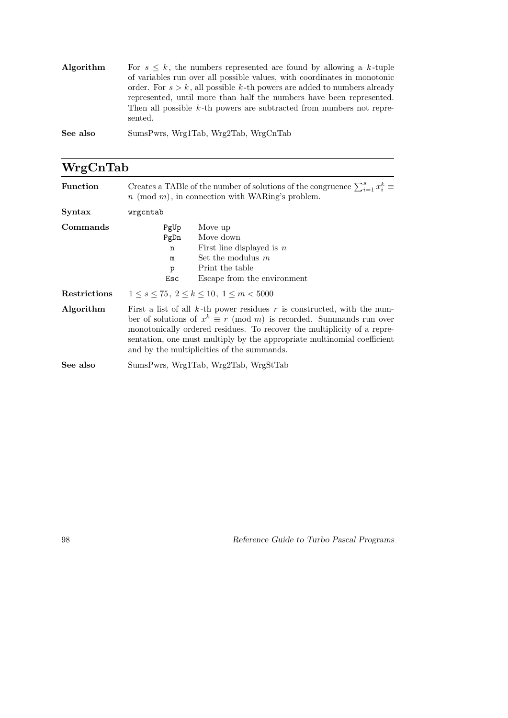| Algorithm | For $s \leq k$ , the numbers represented are found by allowing a k-tuple<br>of variables run over all possible values, with coordinates in monotonic<br>order. For $s > k$ , all possible k-th powers are added to numbers already<br>represented, until more than half the numbers have been represented.<br>Then all possible $k$ -th powers are subtracted from numbers not repre-<br>sented. |
|-----------|--------------------------------------------------------------------------------------------------------------------------------------------------------------------------------------------------------------------------------------------------------------------------------------------------------------------------------------------------------------------------------------------------|
| See also  | SumsPwrs, Wrg1Tab, Wrg2Tab, WrgCnTab                                                                                                                                                                                                                                                                                                                                                             |

| WrgCnTab        |                                                                                                                                                                                                                                                                                                                                                              |  |
|-----------------|--------------------------------------------------------------------------------------------------------------------------------------------------------------------------------------------------------------------------------------------------------------------------------------------------------------------------------------------------------------|--|
| <b>Function</b> | Creates a TABle of the number of solutions of the congruence $\sum_{i=1}^{s} x_i^k \equiv$<br>$n \pmod{m}$ , in connection with WARing's problem.                                                                                                                                                                                                            |  |
| Syntax          | wrgcntab                                                                                                                                                                                                                                                                                                                                                     |  |
| Commands        | Move up<br>PgUp<br>Move down<br>PgDn<br>First line displayed is $n$<br>n<br>Set the modulus $m$<br>m<br>Print the table<br>$\mathbf{p}$<br>Escape from the environment<br>Esc                                                                                                                                                                                |  |
| Restrictions    | $1 \leq s \leq 75$ , $2 \leq k \leq 10$ , $1 \leq m \leq 5000$                                                                                                                                                                                                                                                                                               |  |
| Algorithm       | First a list of all $k$ -th power residues r is constructed, with the num-<br>ber of solutions of $x^k \equiv r \pmod{m}$ is recorded. Summands run over<br>monotonically ordered residues. To recover the multiplicity of a repre-<br>sentation, one must multiply by the appropriate multinomial coefficient<br>and by the multiplicities of the summands. |  |
| See also        | SumsPwrs, Wrg1Tab, Wrg2Tab, WrgStTab                                                                                                                                                                                                                                                                                                                         |  |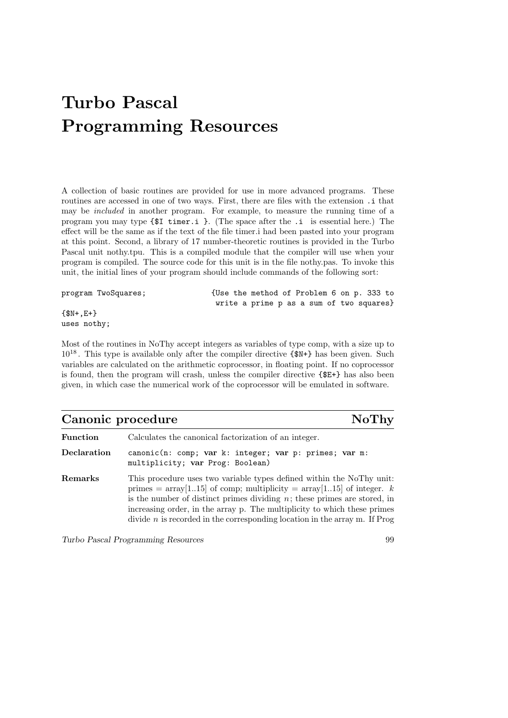# Turbo Pascal Programming Resources

A collection of basic routines are provided for use in more advanced programs. These routines are accessed in one of two ways. First, there are files with the extension  $\cdot$  i that may be included in another program. For example, to measure the running time of a program you may type {\$I timer.i }. (The space after the .i is essential here.) The effect will be the same as if the text of the file timer.i had been pasted into your program at this point. Second, a library of 17 number-theoretic routines is provided in the Turbo Pascal unit nothy.tpu. This is a compiled module that the compiler will use when your program is compiled. The source code for this unit is in the file nothy.pas. To invoke this unit, the initial lines of your program should include commands of the following sort:

| program TwoSquares; | {Use the method of Problem 6 on p. 333 to |
|---------------------|-------------------------------------------|
|                     | write a prime p as a sum of two squares}  |
| $\{\$N+, E+\}$      |                                           |
| uses nothy;         |                                           |

Most of the routines in NoThy accept integers as variables of type comp, with a size up to  $10^{18}$ . This type is available only after the compiler directive  $\{\$N+\}$  has been given. Such variables are calculated on the arithmetic coprocessor, in floating point. If no coprocessor is found, then the program will crash, unless the compiler directive {\$E+} has also been given, in which case the numerical work of the coprocessor will be emulated in software.

| Canonic procedure<br><b>NoThy</b> |                                                                                                                                                                                                                                                                                                                    |
|-----------------------------------|--------------------------------------------------------------------------------------------------------------------------------------------------------------------------------------------------------------------------------------------------------------------------------------------------------------------|
| Function                          | Calculates the canonical factorization of an integer.                                                                                                                                                                                                                                                              |
| Declaration                       | canonic(n: comp; var k: integer; var p: primes; var m:<br>multiplicity; var Prog: Boolean)                                                                                                                                                                                                                         |
| Remarks                           | This procedure uses two variable types defined within the NoThy unit:<br>primes = $\arctan[1.15]$ of comp; multiplicity = $\arctan[1.15]$ of integer. k<br>is the number of distinct primes dividing $n$ ; these primes are stored, in<br>increasing order, in the array p. The multiplicity to which these primes |

divide  $n$  is recorded in the corresponding location in the array m. If Prog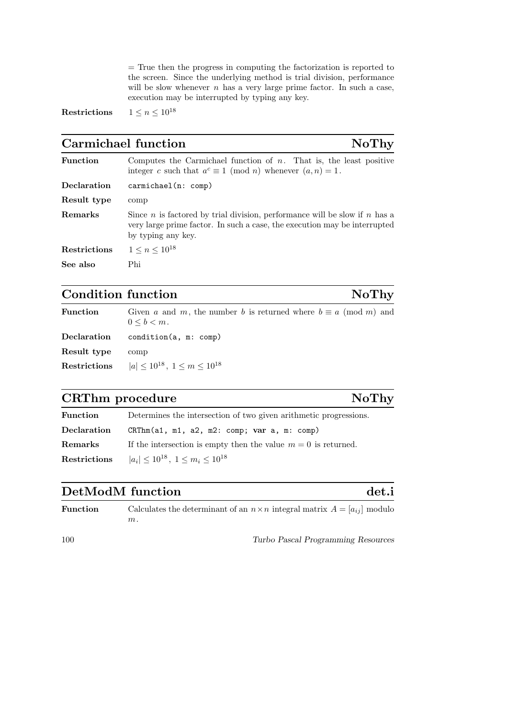= True then the progress in computing the factorization is reported to the screen. Since the underlying method is trial division, performance will be slow whenever  $n$  has a very large prime factor. In such a case, execution may be interrupted by typing any key.

Restrictions  $1 \leq n \leq 10^{18}$ 

## Carmichael function NoThy

| <b>Function</b>     | Computes the Carmichael function of $n$ . That is, the least positive<br>integer c such that $a^c \equiv 1 \pmod{n}$ whenever $(a, n) = 1$ .                                                |
|---------------------|---------------------------------------------------------------------------------------------------------------------------------------------------------------------------------------------|
| Declaration         | carmichael(n: comp)                                                                                                                                                                         |
| Result type         | comp                                                                                                                                                                                        |
| Remarks             | Since <i>n</i> is factored by trial division, performance will be slow if <i>n</i> has a<br>very large prime factor. In such a case, the execution may be interrupted<br>by typing any key. |
| <b>Restrictions</b> | $1 \leq n \leq 10^{18}$                                                                                                                                                                     |
| See also            | Phi                                                                                                                                                                                         |

#### Condition function  $N\sigma T$ hy

| <b>Function</b> | Given a and m, the number b is returned where $b \equiv a \pmod{m}$ and<br>$0 \leq b \leq m$ . |
|-----------------|------------------------------------------------------------------------------------------------|
| Declaration     | condition(a, m: comp)                                                                          |
| Result type     | comp                                                                                           |
| Restrictions    | $ a  \leq 10^{18}$ , $1 \leq m \leq 10^{18}$                                                   |
|                 |                                                                                                |

#### CRThm procedure NoThy

#### Function Determines the intersection of two given arithmetic progressions. Declaration CRThm(a1, m1, a2, m2: comp; var a, m: comp) **Remarks** If the intersection is empty then the value  $m = 0$  is returned. Restrictions  $|a_i| \leq 10^{18}$ ,  $1 \leq m_i \leq 10^{18}$

#### DetModM function det.i

| <b>Function</b> | Calculates the determinant of an $n \times n$ integral matrix $A = [a_{ij}]$ modulo |
|-----------------|-------------------------------------------------------------------------------------|
|                 | $m$ .                                                                               |
|                 |                                                                                     |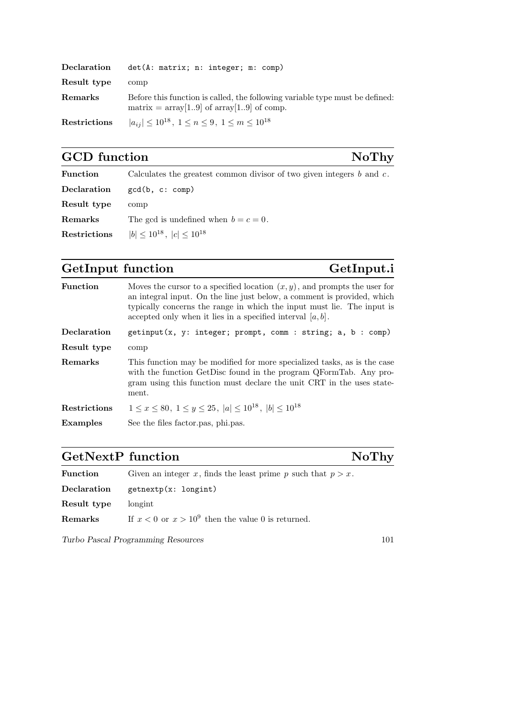| Declaration  | det(A: matrix; n: integer; m: comp)                                                                                              |
|--------------|----------------------------------------------------------------------------------------------------------------------------------|
| Result type  | comp                                                                                                                             |
| Remarks      | Before this function is called, the following variable type must be defined:<br>matrix = $\arctan[19]$ of $\arctan[19]$ of comp. |
| Restrictions | $ a_{ij}  \leq 10^{18}, 1 \leq n \leq 9, 1 \leq m \leq 10^{18}$                                                                  |

# GCD function NoThy

| <b>Function</b> | Calculates the greatest common divisor of two given integers $b$ and $c$ . |
|-----------------|----------------------------------------------------------------------------|
| Declaration     | gcd(b, c: comp)                                                            |
| Result type     | comp                                                                       |
| Remarks         | The gcd is undefined when $b=c=0$ .                                        |
| Restrictions    | $ b  \leq 10^{18}$ , $ c  \leq 10^{18}$                                    |

## GetInput function GetInput.i

| <b>Function</b> | Moves the cursor to a specified location $(x, y)$ , and prompts the user for<br>an integral input. On the line just below, a comment is provided, which<br>typically concerns the range in which the input must lie. The input is<br>accepted only when it lies in a specified interval $[a, b]$ . |
|-----------------|----------------------------------------------------------------------------------------------------------------------------------------------------------------------------------------------------------------------------------------------------------------------------------------------------|
| Declaration     | $getinput(x, y: integer; prompt, comm: string; a, b: comp)$                                                                                                                                                                                                                                        |
| Result type     | comp                                                                                                                                                                                                                                                                                               |
| Remarks         | This function may be modified for more specialized tasks, as is the case<br>with the function GetDisc found in the program QFormTab. Any pro-<br>gram using this function must declare the unit CRT in the uses state-<br>ment.                                                                    |
| Restrictions    | $1 \leq x \leq 80, \ 1 \leq y \leq 25, \  a  \leq 10^{18}, \  b  \leq 10^{18}$                                                                                                                                                                                                                     |
| <b>Examples</b> | See the files factor pas, phi.pas.                                                                                                                                                                                                                                                                 |

# GetNextP function NoThy

| $\bm{\mathrm{Function}}$ | Given an integer x, finds the least prime p such that $p > x$ . |
|--------------------------|-----------------------------------------------------------------|
| $\rm Declaration$        | getnextp(x: longint)                                            |
| Result type              | longint                                                         |
| ${\rm Remarks}$          | If $x < 0$ or $x > 10^9$ then the value 0 is returned.          |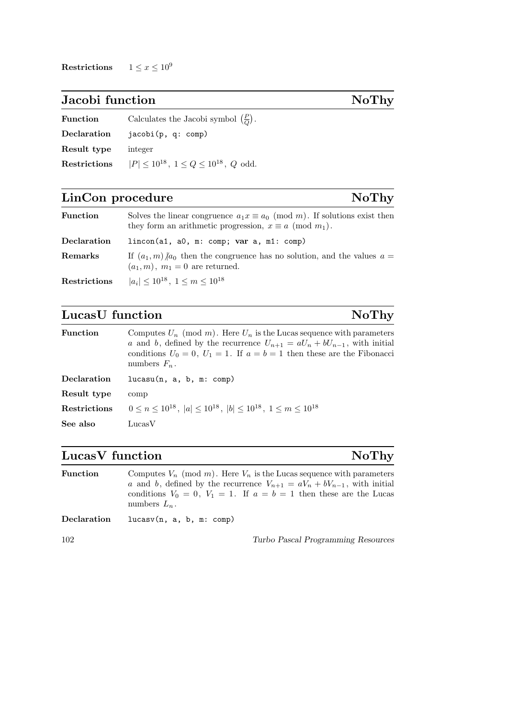Restrictions  $1 \leq x \leq 10^9$ 

#### Jacobi function NoThy

| <b>Function</b> | Calculates the Jacobi symbol $(\frac{P}{Q})$ .        |
|-----------------|-------------------------------------------------------|
| Declaration     | iacobi(p, q: comp)                                    |
| Result type     | integer                                               |
| Restrictions    | $ P  \leq 10^{18}$ , $1 \leq Q \leq 10^{18}$ , Q odd. |

#### LinCon procedure NoThy

Function Solves the linear congruence  $a_1x \equiv a_0 \pmod{m}$ . If solutions exist then they form an arithmetic progression,  $x \equiv a \pmod{m_1}$ . Declaration lincon(a1, a0, m: comp; var a, m1: comp) **Remarks** If  $(a_1, m)/a_0$  then the congruence has no solution, and the values  $a =$  $(a_1, m)$ ,  $m_1 = 0$  are returned. Restrictions  $|a_i| \leq 10^{18}, 1 \leq m \leq 10^{18}$ 

#### LucasU function NoThy

**Function** Computes  $U_n \pmod{m}$ . Here  $U_n$  is the Lucas sequence with parameters a and b, defined by the recurrence  $U_{n+1} = aU_n + bU_{n-1}$ , with initial conditions  $U_0 = 0, U_1 = 1$ . If  $a = b = 1$  then these are the Fibonacci numbers  $F_n$ . Declaration lucasu(n, a, b, m: comp) Result type comp **Restrictions**  $0 \le n \le 10^{18}$ ,  $|a| \le 10^{18}$ ,  $|b| \le 10^{18}$ ,  $1 \le m \le 10^{18}$ See also LucasV

#### LucasV function NoThy

| <b>Function</b> | Computes $V_n \pmod{m}$ . Here $V_n$ is the Lucas sequence with parameters<br>a and b, defined by the recurrence $V_{n+1} = aV_n + bV_{n-1}$ , with initial<br>conditions $V_0 = 0$ , $V_1 = 1$ . If $a = b = 1$ then these are the Lucas<br>numbers $L_n$ . |
|-----------------|--------------------------------------------------------------------------------------------------------------------------------------------------------------------------------------------------------------------------------------------------------------|
| Declaration     | lucasv(n, a, b, m: comp)                                                                                                                                                                                                                                     |
| 102             | Turbo Pascal Programming Resources                                                                                                                                                                                                                           |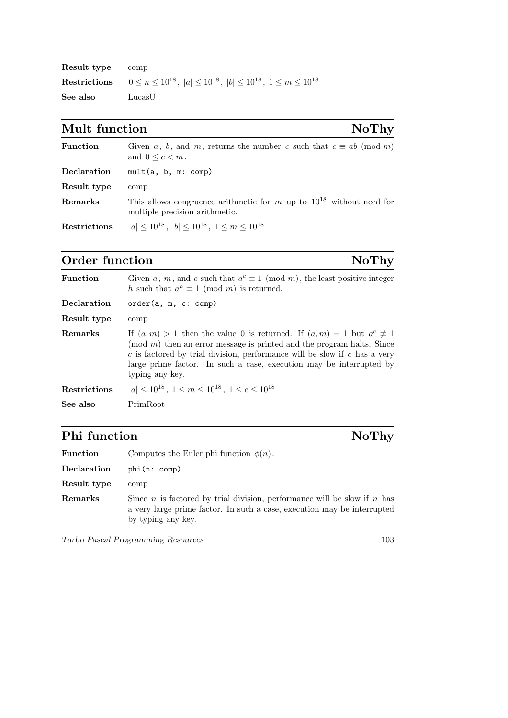| Result type | comp                                                                                                      |
|-------------|-----------------------------------------------------------------------------------------------------------|
|             | <b>Restrictions</b> $0 \le n \le 10^{18}$ , $ a  \le 10^{18}$ , $ b  \le 10^{18}$ , $1 \le m \le 10^{18}$ |
| See also    | LucasU                                                                                                    |

# Mult function NoThy

| <b>Function</b> | Given a, b, and m, returns the number c such that $c \equiv ab \pmod{m}$<br>and $0 \leq c \leq m$ .        |
|-----------------|------------------------------------------------------------------------------------------------------------|
| Declaration     | mult(a, b, m: comp)                                                                                        |
| Result type     | comp                                                                                                       |
| Remarks         | This allows congruence arithmetic for m up to $10^{18}$ without need for<br>multiple precision arithmetic. |
| Restrictions    | $ a  \leq 10^{18}$ , $ b  \leq 10^{18}$ , $1 \leq m \leq 10^{18}$                                          |

# Order function NoThy

| <b>Function</b> | Given a, m, and c such that $a^c \equiv 1 \pmod{m}$ , the least positive integer<br>h such that $a^h \equiv 1 \pmod{m}$ is returned.                                                                                                                                                                                                      |
|-----------------|-------------------------------------------------------------------------------------------------------------------------------------------------------------------------------------------------------------------------------------------------------------------------------------------------------------------------------------------|
| Declaration     | order(a, m, c: comp)                                                                                                                                                                                                                                                                                                                      |
| Result type     | comp                                                                                                                                                                                                                                                                                                                                      |
| Remarks         | If $(a,m) > 1$ then the value 0 is returned. If $(a,m) = 1$ but $a^c \not\equiv 1$<br>$\pmod{m}$ then an error message is printed and the program halts. Since<br>$c$ is factored by trial division, performance will be slow if $c$ has a very<br>large prime factor. In such a case, execution may be interrupted by<br>typing any key. |
| Restrictions    | $ a  < 10^{18}$ , $1 \le m \le 10^{18}$ , $1 \le c \le 10^{18}$                                                                                                                                                                                                                                                                           |
| See also        | PrimRoot                                                                                                                                                                                                                                                                                                                                  |
|                 |                                                                                                                                                                                                                                                                                                                                           |

# Phi function NoThy

| <b>Function</b> | Computes the Euler phi function $\phi(n)$ .                                                                                                                                             |
|-----------------|-----------------------------------------------------------------------------------------------------------------------------------------------------------------------------------------|
| Declaration     | phi(n: comp)                                                                                                                                                                            |
| Result type     | comp                                                                                                                                                                                    |
| Remarks         | Since <i>n</i> is factored by trial division, performance will be slow if <i>n</i> has<br>a very large prime factor. In such a case, execution may be interrupted<br>by typing any key. |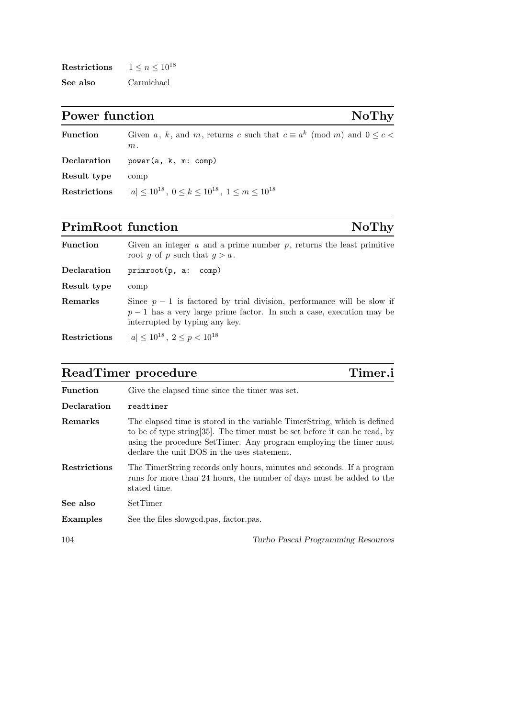| <b>Restrictions</b> | $1 \leq n \leq 10^{18}$ |  |
|---------------------|-------------------------|--|
| See also            | Carmichael              |  |

Power function NoThy

| <b>Function</b> | Given a, k, and m, returns c such that $c \equiv a^k \pmod{m}$ and $0 \leq c$<br>$m$ . |
|-----------------|----------------------------------------------------------------------------------------|
| Declaration     | power(a, k, m: comp)                                                                   |
| Result type     | comp                                                                                   |
| Restrictions    | $ a  < 10^{18}$ , $0 \le k \le 10^{18}$ , $1 \le m \le 10^{18}$                        |

# PrimRoot function NoThy

| <b>Function</b> | Given an integer $a$ and a prime number $p$ , returns the least primitive<br>root g of p such that $q > a$ .                                                                      |
|-----------------|-----------------------------------------------------------------------------------------------------------------------------------------------------------------------------------|
| Declaration     | primroot(p, a: comp)                                                                                                                                                              |
| Result type     | comp                                                                                                                                                                              |
| Remarks         | Since $p-1$ is factored by trial division, performance will be slow if<br>$p-1$ has a very large prime factor. In such a case, execution may be<br>interrupted by typing any key. |
| Restrictions    | $ a  \leq 10^{18}$ , $2 \leq p < 10^{18}$                                                                                                                                         |

## ReadTimer procedure Timer.i

| <b>Function</b> | Give the elapsed time since the timer was set.                                                                                                                                                                                                                              |
|-----------------|-----------------------------------------------------------------------------------------------------------------------------------------------------------------------------------------------------------------------------------------------------------------------------|
| Declaration     | readtimer                                                                                                                                                                                                                                                                   |
| Remarks         | The elapsed time is stored in the variable TimerString, which is defined<br>to be of type string [35]. The timer must be set before it can be read, by<br>using the procedure SetTimer. Any program employing the timer must<br>declare the unit DOS in the uses statement. |
| Restrictions    | The TimerString records only hours, minutes and seconds. If a program<br>runs for more than 24 hours, the number of days must be added to the<br>stated time.                                                                                                               |
| See also        | SetTimer                                                                                                                                                                                                                                                                    |
| <b>Examples</b> | See the files slowged pas, factor pas.                                                                                                                                                                                                                                      |
| 104             | Turbo Pascal Programming Resources                                                                                                                                                                                                                                          |